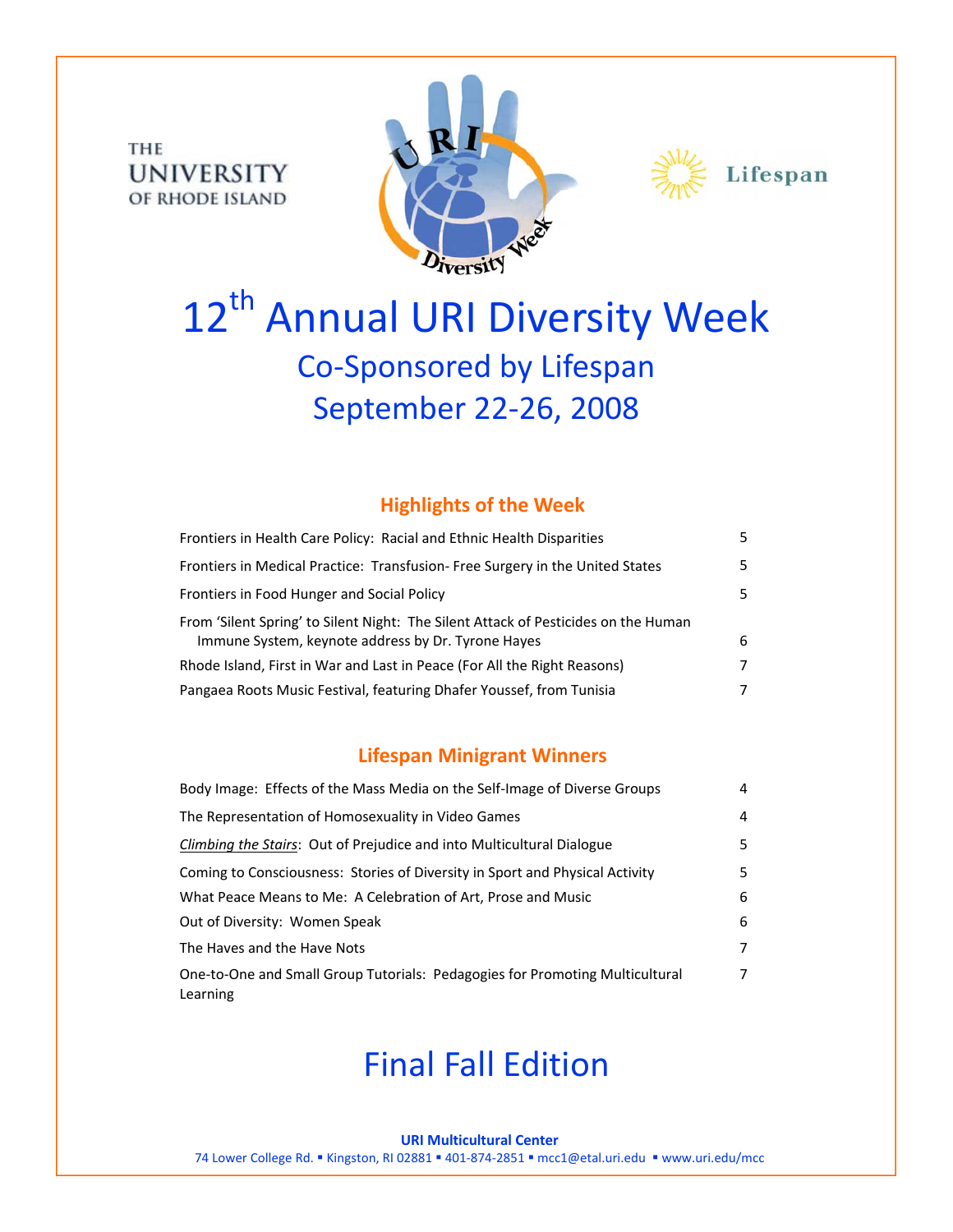THE **UNIVERSITY** OF RHODE ISLAND





# 12<sup>th</sup> Annual URI Diversity Week Co‐Sponsored by Lifespan September 22‐26, 2008

### **Highlights of the Week**

| Frontiers in Health Care Policy: Racial and Ethnic Health Disparities                                                                    | 5. |
|------------------------------------------------------------------------------------------------------------------------------------------|----|
| Frontiers in Medical Practice: Transfusion-Free Surgery in the United States                                                             | 5. |
| Frontiers in Food Hunger and Social Policy                                                                                               | 5. |
| From 'Silent Spring' to Silent Night: The Silent Attack of Pesticides on the Human<br>Immune System, keynote address by Dr. Tyrone Hayes | 6  |
| Rhode Island, First in War and Last in Peace (For All the Right Reasons)                                                                 | 7  |
| Pangaea Roots Music Festival, featuring Dhafer Youssef, from Tunisia                                                                     |    |

### **Lifespan Minigrant Winners**

| Body Image: Effects of the Mass Media on the Self-Image of Diverse Groups                | 4 |
|------------------------------------------------------------------------------------------|---|
| The Representation of Homosexuality in Video Games                                       | 4 |
| Climbing the Stairs: Out of Prejudice and into Multicultural Dialogue                    | 5 |
| Coming to Consciousness: Stories of Diversity in Sport and Physical Activity             | 5 |
| What Peace Means to Me: A Celebration of Art, Prose and Music                            | 6 |
| Out of Diversity: Women Speak                                                            | 6 |
| The Haves and the Have Nots                                                              | 7 |
| One-to-One and Small Group Tutorials: Pedagogies for Promoting Multicultural<br>Learning | 7 |

# Final Fall Edition

#### **URI Multicultural Center**

74 Lower College Rd. ■ Kingston, RI 02881 ■ 401-874-2851 ■ mcc1@etal.uri.edu ■ www.uri.edu/mcc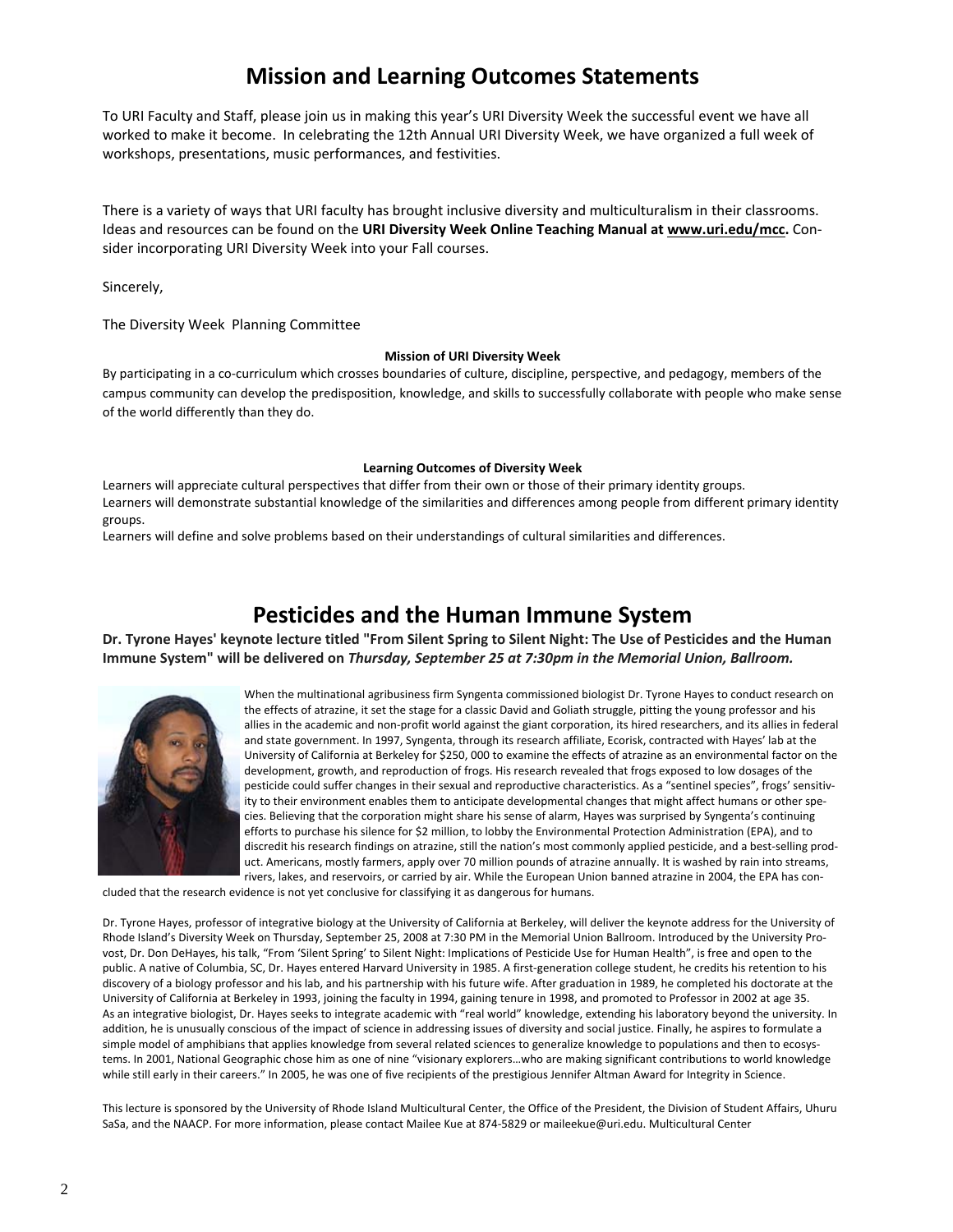## **Mission and Learning Outcomes Statements**

To URI Faculty and Staff, please join us in making this year's URI Diversity Week the successful event we have all worked to make it become. In celebrating the 12th Annual URI Diversity Week, we have organized a full week of workshops, presentations, music performances, and festivities.

There is a variety of ways that URI faculty has brought inclusive diversity and multiculturalism in their classrooms. Ideas and resources can be found on the **URI Diversity Week Online Teaching Manual at www.uri.edu/mcc.** Con‐ sider incorporating URI Diversity Week into your Fall courses.

Sincerely,

The Diversity Week Planning Committee

#### **Mission of URI Diversity Week**

By participating in a co-curriculum which crosses boundaries of culture, discipline, perspective, and pedagogy, members of the campus community can develop the predisposition, knowledge, and skills to successfully collaborate with people who make sense of the world differently than they do.

#### **Learning Outcomes of Diversity Week**

Learners will appreciate cultural perspectives that differ from their own or those of their primary identity groups. Learners will demonstrate substantial knowledge of the similarities and differences among people from different primary identity groups.

Learners will define and solve problems based on their understandings of cultural similarities and differences.

### **Pesticides and the Human Immune System**

Dr. Tyrone Hayes' keynote lecture titled "From Silent Spring to Silent Night: The Use of Pesticides and the Human **Immune System" will be delivered on** *Thursday, September 25 at 7:30pm in the Memorial Union, Ballroom.*



When the multinational agribusiness firm Syngenta commissioned biologist Dr. Tyrone Hayes to conduct research on the effects of atrazine, it set the stage for a classic David and Goliath struggle, pitting the young professor and his allies in the academic and non‐profit world against the giant corporation, its hired researchers, and its allies in federal and state government. In 1997, Syngenta, through its research affiliate, Ecorisk, contracted with Hayes' lab at the University of California at Berkeley for \$250, 000 to examine the effects of atrazine as an environmental factor on the development, growth, and reproduction of frogs. His research revealed that frogs exposed to low dosages of the pesticide could suffer changes in their sexual and reproductive characteristics. As a "sentinel species", frogs' sensitivity to their environment enables them to anticipate developmental changes that might affect humans or other species. Believing that the corporation might share his sense of alarm, Hayes was surprised by Syngenta's continuing efforts to purchase his silence for \$2 million, to lobby the Environmental Protection Administration (EPA), and to discredit his research findings on atrazine, still the nation's most commonly applied pesticide, and a best-selling product. Americans, mostly farmers, apply over 70 million pounds of atrazine annually. It is washed by rain into streams, rivers, lakes, and reservoirs, or carried by air. While the European Union banned atrazine in 2004, the EPA has con‐

cluded that the research evidence is not yet conclusive for classifying it as dangerous for humans.

Dr. Tyrone Hayes, professor of integrative biology at the University of California at Berkeley, will deliver the keynote address for the University of Rhode Island's Diversity Week on Thursday, September 25, 2008 at 7:30 PM in the Memorial Union Ballroom. Introduced by the University Pro‐ vost, Dr. Don DeHayes, his talk, "From 'Silent Spring' to Silent Night: Implications of Pesticide Use for Human Health", is free and open to the public. A native of Columbia, SC, Dr. Hayes entered Harvard University in 1985. A first-generation college student, he credits his retention to his discovery of a biology professor and his lab, and his partnership with his future wife. After graduation in 1989, he completed his doctorate at the University of California at Berkeley in 1993, joining the faculty in 1994, gaining tenure in 1998, and promoted to Professor in 2002 at age 35. As an integrative biologist, Dr. Hayes seeks to integrate academic with "real world" knowledge, extending his laboratory beyond the university. In addition, he is unusually conscious of the impact of science in addressing issues of diversity and social justice. Finally, he aspires to formulate a simple model of amphibians that applies knowledge from several related sciences to generalize knowledge to populations and then to ecosystems. In 2001, National Geographic chose him as one of nine "visionary explorers…who are making significant contributions to world knowledge while still early in their careers." In 2005, he was one of five recipients of the prestigious Jennifer Altman Award for Integrity in Science.

This lecture is sponsored by the University of Rhode Island Multicultural Center, the Office of the President, the Division of Student Affairs, Uhuru SaSa, and the NAACP. For more information, please contact Mailee Kue at 874‐5829 or maileekue@uri.edu. Multicultural Center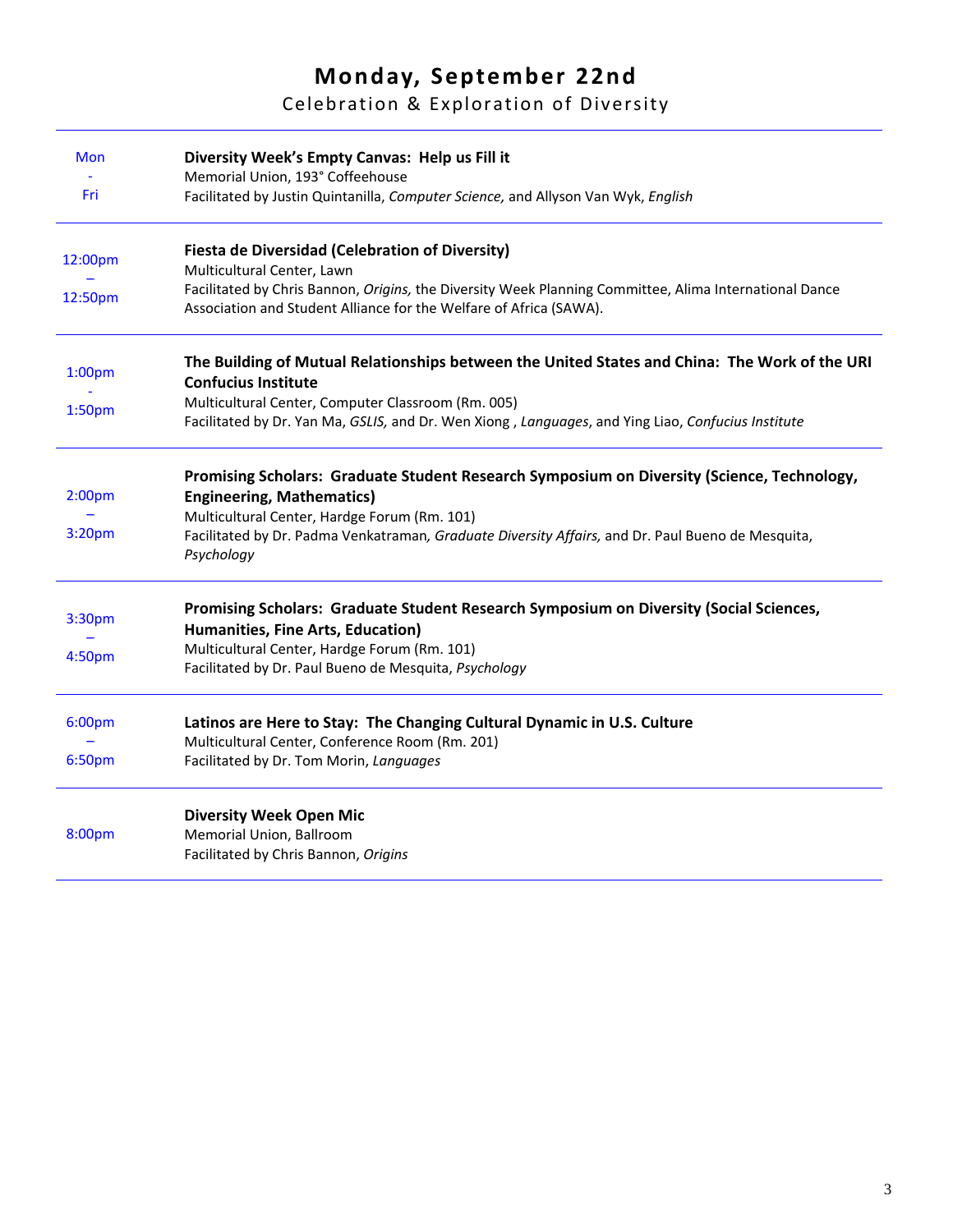# **Monday, September 22nd**

Celebration & Exploration of Diversity

| <b>Mon</b>         | Diversity Week's Empty Canvas: Help us Fill it                                                                              |
|--------------------|-----------------------------------------------------------------------------------------------------------------------------|
|                    | Memorial Union, 193° Coffeehouse                                                                                            |
| Fri                | Facilitated by Justin Quintanilla, Computer Science, and Allyson Van Wyk, English                                           |
| 12:00pm            | <b>Fiesta de Diversidad (Celebration of Diversity)</b>                                                                      |
|                    | Multicultural Center, Lawn                                                                                                  |
| 12:50pm            | Facilitated by Chris Bannon, Origins, the Diversity Week Planning Committee, Alima International Dance                      |
|                    | Association and Student Alliance for the Welfare of Africa (SAWA).                                                          |
| 1:00 <sub>pm</sub> | The Building of Mutual Relationships between the United States and China: The Work of the URI<br><b>Confucius Institute</b> |
|                    | Multicultural Center, Computer Classroom (Rm. 005)                                                                          |
| 1:50 <sub>pm</sub> | Facilitated by Dr. Yan Ma, GSLIS, and Dr. Wen Xiong, Languages, and Ying Liao, Confucius Institute                          |
|                    | Promising Scholars: Graduate Student Research Symposium on Diversity (Science, Technology,                                  |
| 2:00 <sub>pm</sub> | <b>Engineering, Mathematics)</b>                                                                                            |
|                    | Multicultural Center, Hardge Forum (Rm. 101)                                                                                |
| 3:20pm             | Facilitated by Dr. Padma Venkatraman, Graduate Diversity Affairs, and Dr. Paul Bueno de Mesquita,                           |
|                    | Psychology                                                                                                                  |
|                    | Promising Scholars: Graduate Student Research Symposium on Diversity (Social Sciences,                                      |
| 3:30pm             | Humanities, Fine Arts, Education)                                                                                           |
| 4:50pm             | Multicultural Center, Hardge Forum (Rm. 101)                                                                                |
|                    | Facilitated by Dr. Paul Bueno de Mesquita, Psychology                                                                       |
| 6:00pm             | Latinos are Here to Stay: The Changing Cultural Dynamic in U.S. Culture                                                     |
|                    | Multicultural Center, Conference Room (Rm. 201)                                                                             |
| 6:50pm             | Facilitated by Dr. Tom Morin, Languages                                                                                     |
|                    | <b>Diversity Week Open Mic</b>                                                                                              |
| 8:00pm             | Memorial Union, Ballroom                                                                                                    |
|                    | Facilitated by Chris Bannon, Origins                                                                                        |
|                    |                                                                                                                             |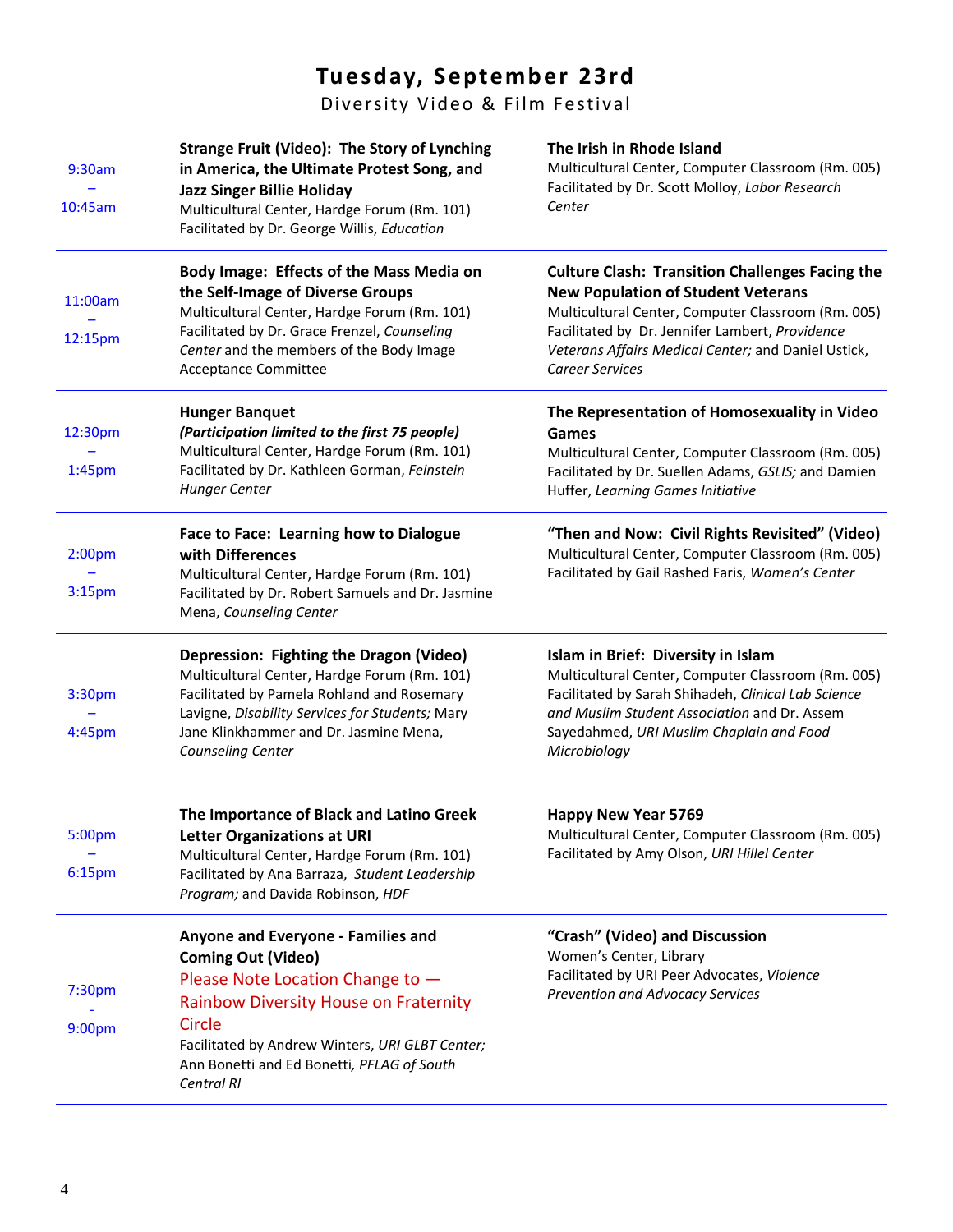# **Tuesday, September 23rd**

Diversity Video & Film Festival

| 9:30am<br>10:45am                        | <b>Strange Fruit (Video): The Story of Lynching</b><br>in America, the Ultimate Protest Song, and<br><b>Jazz Singer Billie Holiday</b><br>Multicultural Center, Hardge Forum (Rm. 101)<br>Facilitated by Dr. George Willis, Education                                        | The Irish in Rhode Island<br>Multicultural Center, Computer Classroom (Rm. 005)<br>Facilitated by Dr. Scott Molloy, Labor Research<br>Center                                                                                                                                                  |
|------------------------------------------|------------------------------------------------------------------------------------------------------------------------------------------------------------------------------------------------------------------------------------------------------------------------------|-----------------------------------------------------------------------------------------------------------------------------------------------------------------------------------------------------------------------------------------------------------------------------------------------|
| 11:00am<br>12:15pm                       | Body Image: Effects of the Mass Media on<br>the Self-Image of Diverse Groups<br>Multicultural Center, Hardge Forum (Rm. 101)<br>Facilitated by Dr. Grace Frenzel, Counseling<br>Center and the members of the Body Image<br>Acceptance Committee                             | <b>Culture Clash: Transition Challenges Facing the</b><br><b>New Population of Student Veterans</b><br>Multicultural Center, Computer Classroom (Rm. 005)<br>Facilitated by Dr. Jennifer Lambert, Providence<br>Veterans Affairs Medical Center; and Daniel Ustick,<br><b>Career Services</b> |
| 12:30pm<br>1:45 <sub>pm</sub>            | <b>Hunger Banquet</b><br>(Participation limited to the first 75 people)<br>Multicultural Center, Hardge Forum (Rm. 101)<br>Facilitated by Dr. Kathleen Gorman, Feinstein<br><b>Hunger Center</b>                                                                             | The Representation of Homosexuality in Video<br>Games<br>Multicultural Center, Computer Classroom (Rm. 005)<br>Facilitated by Dr. Suellen Adams, GSLIS; and Damien<br>Huffer, Learning Games Initiative                                                                                       |
| 2:00 <sub>pm</sub><br>3:15 <sub>pm</sub> | Face to Face: Learning how to Dialogue<br>with Differences<br>Multicultural Center, Hardge Forum (Rm. 101)<br>Facilitated by Dr. Robert Samuels and Dr. Jasmine<br>Mena, Counseling Center                                                                                   | "Then and Now: Civil Rights Revisited" (Video)<br>Multicultural Center, Computer Classroom (Rm. 005)<br>Facilitated by Gail Rashed Faris, Women's Center                                                                                                                                      |
| 3:30pm<br>4:45pm                         | Depression: Fighting the Dragon (Video)<br>Multicultural Center, Hardge Forum (Rm. 101)<br>Facilitated by Pamela Rohland and Rosemary<br>Lavigne, Disability Services for Students; Mary<br>Jane Klinkhammer and Dr. Jasmine Mena,<br>Counseling Center                      | Islam in Brief: Diversity in Islam<br>Multicultural Center, Computer Classroom (Rm. 005)<br>Facilitated by Sarah Shihadeh, Clinical Lab Science<br>and Muslim Student Association and Dr. Assem<br>Sayedahmed, URI Muslim Chaplain and Food<br>Microbiology                                   |
| 5:00pm<br>6:15pm                         | The Importance of Black and Latino Greek<br><b>Letter Organizations at URI</b><br>Multicultural Center, Hardge Forum (Rm. 101)<br>Facilitated by Ana Barraza, Student Leadership<br>Program; and Davida Robinson, HDF                                                        | <b>Happy New Year 5769</b><br>Multicultural Center, Computer Classroom (Rm. 005)<br>Facilitated by Amy Olson, URI Hillel Center                                                                                                                                                               |
| 7:30 <sub>pm</sub><br>9:00pm             | Anyone and Everyone - Families and<br><b>Coming Out (Video)</b><br>Please Note Location Change to -<br><b>Rainbow Diversity House on Fraternity</b><br>Circle<br>Facilitated by Andrew Winters, URI GLBT Center;<br>Ann Bonetti and Ed Bonetti, PFLAG of South<br>Central RI | "Crash" (Video) and Discussion<br>Women's Center, Library<br>Facilitated by URI Peer Advocates, Violence<br><b>Prevention and Advocacy Services</b>                                                                                                                                           |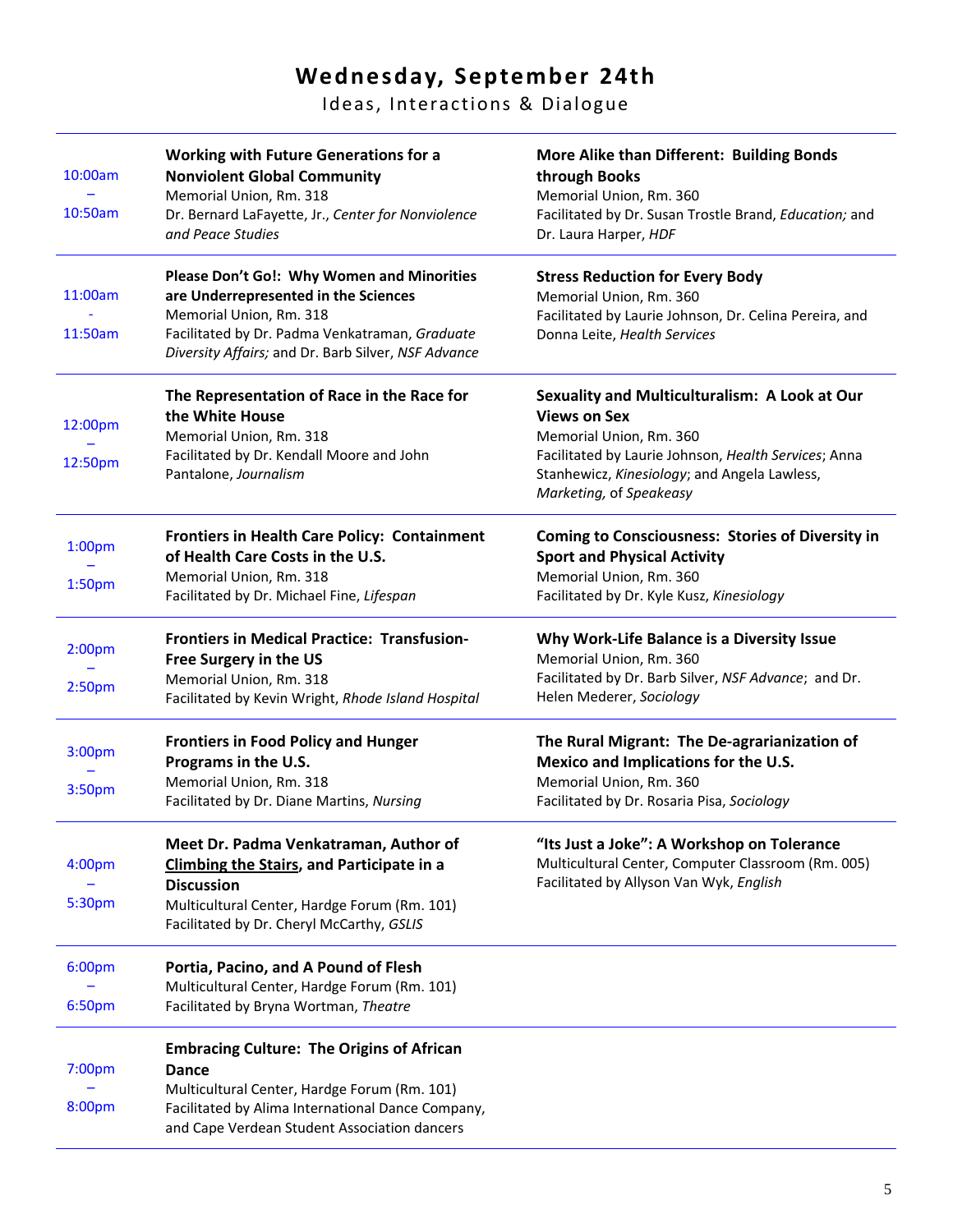# **Wednesday, September 24th**

Ideas, Interactions & Dialogue

| 10:00am            | <b>Working with Future Generations for a</b><br><b>Nonviolent Global Community</b>                                                                | More Alike than Different: Building Bonds<br>through Books                                                                      |
|--------------------|---------------------------------------------------------------------------------------------------------------------------------------------------|---------------------------------------------------------------------------------------------------------------------------------|
| 10:50am            | Memorial Union, Rm. 318<br>Dr. Bernard LaFayette, Jr., Center for Nonviolence<br>and Peace Studies                                                | Memorial Union, Rm. 360<br>Facilitated by Dr. Susan Trostle Brand, Education; and<br>Dr. Laura Harper, HDF                      |
| 11:00am            | Please Don't Go!: Why Women and Minorities<br>are Underrepresented in the Sciences                                                                | <b>Stress Reduction for Every Body</b><br>Memorial Union, Rm. 360                                                               |
| 11:50am            | Memorial Union, Rm. 318<br>Facilitated by Dr. Padma Venkatraman, Graduate<br>Diversity Affairs; and Dr. Barb Silver, NSF Advance                  | Facilitated by Laurie Johnson, Dr. Celina Pereira, and<br>Donna Leite, Health Services                                          |
| 12:00pm            | The Representation of Race in the Race for<br>the White House                                                                                     | Sexuality and Multiculturalism: A Look at Our<br><b>Views on Sex</b>                                                            |
|                    | Memorial Union, Rm. 318                                                                                                                           | Memorial Union, Rm. 360                                                                                                         |
| 12:50pm            | Facilitated by Dr. Kendall Moore and John<br>Pantalone, Journalism                                                                                | Facilitated by Laurie Johnson, Health Services; Anna<br>Stanhewicz, Kinesiology; and Angela Lawless,<br>Marketing, of Speakeasy |
| 1:00 <sub>pm</sub> | Frontiers in Health Care Policy: Containment<br>of Health Care Costs in the U.S.                                                                  | <b>Coming to Consciousness: Stories of Diversity in</b><br><b>Sport and Physical Activity</b>                                   |
|                    | Memorial Union, Rm. 318                                                                                                                           | Memorial Union, Rm. 360                                                                                                         |
| 1:50 <sub>pm</sub> | Facilitated by Dr. Michael Fine, Lifespan                                                                                                         | Facilitated by Dr. Kyle Kusz, Kinesiology                                                                                       |
| 2:00 <sub>pm</sub> | <b>Frontiers in Medical Practice: Transfusion-</b><br>Free Surgery in the US                                                                      | Why Work-Life Balance is a Diversity Issue<br>Memorial Union, Rm. 360                                                           |
| 2:50 <sub>pm</sub> | Memorial Union, Rm. 318                                                                                                                           | Facilitated by Dr. Barb Silver, NSF Advance; and Dr.                                                                            |
|                    | Facilitated by Kevin Wright, Rhode Island Hospital                                                                                                | Helen Mederer, Sociology                                                                                                        |
| 3:00pm             | <b>Frontiers in Food Policy and Hunger</b>                                                                                                        | The Rural Migrant: The De-agrarianization of                                                                                    |
|                    | Programs in the U.S.<br>Memorial Union, Rm. 318                                                                                                   | Mexico and Implications for the U.S.<br>Memorial Union, Rm. 360                                                                 |
| 3:50pm             | Facilitated by Dr. Diane Martins, Nursing                                                                                                         | Facilitated by Dr. Rosaria Pisa, Sociology                                                                                      |
|                    | Meet Dr. Padma Venkatraman, Author of                                                                                                             | "Its Just a Joke": A Workshop on Tolerance                                                                                      |
| 4:00 <sub>pm</sub> | <b>Climbing the Stairs, and Participate in a</b><br><b>Discussion</b>                                                                             | Multicultural Center, Computer Classroom (Rm. 005)<br>Facilitated by Allyson Van Wyk, English                                   |
| 5:30pm             | Multicultural Center, Hardge Forum (Rm. 101)                                                                                                      |                                                                                                                                 |
|                    | Facilitated by Dr. Cheryl McCarthy, GSLIS                                                                                                         |                                                                                                                                 |
| 6:00pm             | Portia, Pacino, and A Pound of Flesh<br>Multicultural Center, Hardge Forum (Rm. 101)                                                              |                                                                                                                                 |
| 6:50pm             | Facilitated by Bryna Wortman, Theatre                                                                                                             |                                                                                                                                 |
|                    | <b>Embracing Culture: The Origins of African</b>                                                                                                  |                                                                                                                                 |
| 7:00pm             | <b>Dance</b>                                                                                                                                      |                                                                                                                                 |
| 8:00pm             | Multicultural Center, Hardge Forum (Rm. 101)<br>Facilitated by Alima International Dance Company,<br>and Cape Verdean Student Association dancers |                                                                                                                                 |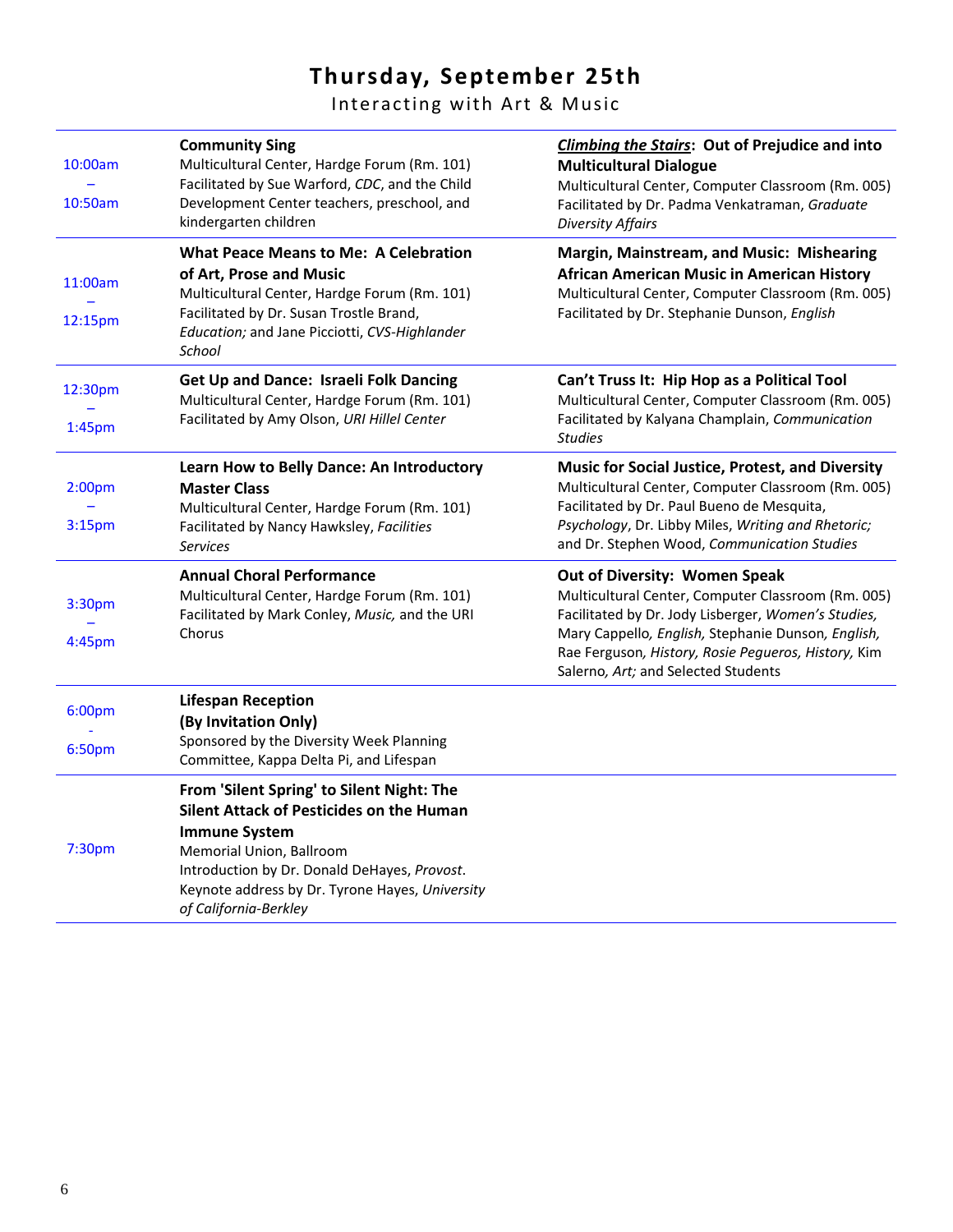# **Thursday, September 25th**

Interacting with Art & Music

| 10:00am<br>10:50am                       | <b>Community Sing</b><br>Multicultural Center, Hardge Forum (Rm. 101)<br>Facilitated by Sue Warford, CDC, and the Child<br>Development Center teachers, preschool, and<br>kindergarten children                                                                       | <b>Climbing the Stairs: Out of Prejudice and into</b><br><b>Multicultural Dialogue</b><br>Multicultural Center, Computer Classroom (Rm. 005)<br>Facilitated by Dr. Padma Venkatraman, Graduate<br><b>Diversity Affairs</b>                                                                     |
|------------------------------------------|-----------------------------------------------------------------------------------------------------------------------------------------------------------------------------------------------------------------------------------------------------------------------|------------------------------------------------------------------------------------------------------------------------------------------------------------------------------------------------------------------------------------------------------------------------------------------------|
| 11:00am<br>12:15pm                       | <b>What Peace Means to Me: A Celebration</b><br>of Art, Prose and Music<br>Multicultural Center, Hardge Forum (Rm. 101)<br>Facilitated by Dr. Susan Trostle Brand,<br>Education; and Jane Picciotti, CVS-Highlander<br>School                                         | Margin, Mainstream, and Music: Mishearing<br>African American Music in American History<br>Multicultural Center, Computer Classroom (Rm. 005)<br>Facilitated by Dr. Stephanie Dunson, English                                                                                                  |
| 12:30pm<br>1:45 <sub>pm</sub>            | <b>Get Up and Dance: Israeli Folk Dancing</b><br>Multicultural Center, Hardge Forum (Rm. 101)<br>Facilitated by Amy Olson, URI Hillel Center                                                                                                                          | Can't Truss It: Hip Hop as a Political Tool<br>Multicultural Center, Computer Classroom (Rm. 005)<br>Facilitated by Kalyana Champlain, Communication<br><b>Studies</b>                                                                                                                         |
| 2:00 <sub>pm</sub><br>3:15 <sub>pm</sub> | Learn How to Belly Dance: An Introductory<br><b>Master Class</b><br>Multicultural Center, Hardge Forum (Rm. 101)<br>Facilitated by Nancy Hawksley, Facilities<br><b>Services</b>                                                                                      | Music for Social Justice, Protest, and Diversity<br>Multicultural Center, Computer Classroom (Rm. 005)<br>Facilitated by Dr. Paul Bueno de Mesquita,<br>Psychology, Dr. Libby Miles, Writing and Rhetoric;<br>and Dr. Stephen Wood, Communication Studies                                      |
| 3:30pm<br>4:45pm                         | <b>Annual Choral Performance</b><br>Multicultural Center, Hardge Forum (Rm. 101)<br>Facilitated by Mark Conley, Music, and the URI<br>Chorus                                                                                                                          | Out of Diversity: Women Speak<br>Multicultural Center, Computer Classroom (Rm. 005)<br>Facilitated by Dr. Jody Lisberger, Women's Studies,<br>Mary Cappello, English, Stephanie Dunson, English,<br>Rae Ferguson, History, Rosie Pegueros, History, Kim<br>Salerno, Art; and Selected Students |
| 6:00pm<br>6:50pm                         | <b>Lifespan Reception</b><br>(By Invitation Only)<br>Sponsored by the Diversity Week Planning<br>Committee, Kappa Delta Pi, and Lifespan                                                                                                                              |                                                                                                                                                                                                                                                                                                |
| 7:30pm                                   | From 'Silent Spring' to Silent Night: The<br>Silent Attack of Pesticides on the Human<br><b>Immune System</b><br>Memorial Union, Ballroom<br>Introduction by Dr. Donald DeHayes, Provost.<br>Keynote address by Dr. Tyrone Hayes, University<br>of California-Berkley |                                                                                                                                                                                                                                                                                                |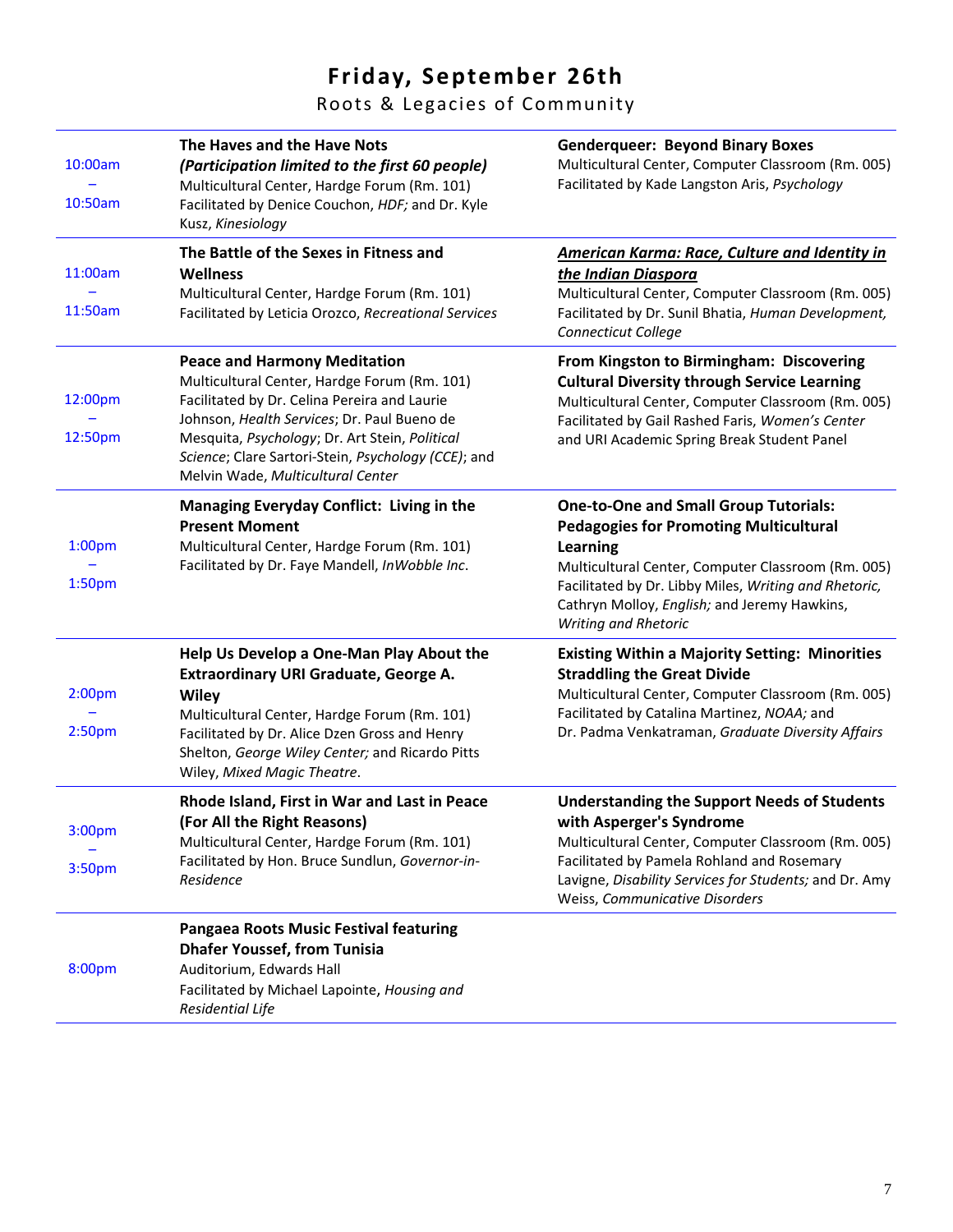# **Friday, September 26th**

Roots & Legacies of Community

| 10:00am<br>10:50am                       | The Haves and the Have Nots<br>(Participation limited to the first 60 people)<br>Multicultural Center, Hardge Forum (Rm. 101)<br>Facilitated by Denice Couchon, HDF; and Dr. Kyle<br>Kusz, Kinesiology                                                                                                                           | <b>Genderqueer: Beyond Binary Boxes</b><br>Multicultural Center, Computer Classroom (Rm. 005)<br>Facilitated by Kade Langston Aris, Psychology                                                                                                                                                          |
|------------------------------------------|----------------------------------------------------------------------------------------------------------------------------------------------------------------------------------------------------------------------------------------------------------------------------------------------------------------------------------|---------------------------------------------------------------------------------------------------------------------------------------------------------------------------------------------------------------------------------------------------------------------------------------------------------|
| 11:00am<br>11:50am                       | The Battle of the Sexes in Fitness and<br><b>Wellness</b><br>Multicultural Center, Hardge Forum (Rm. 101)<br>Facilitated by Leticia Orozco, Recreational Services                                                                                                                                                                | <b>American Karma: Race, Culture and Identity in</b><br>the Indian Diaspora<br>Multicultural Center, Computer Classroom (Rm. 005)<br>Facilitated by Dr. Sunil Bhatia, Human Development,<br><b>Connecticut College</b>                                                                                  |
| 12:00pm<br>12:50pm                       | <b>Peace and Harmony Meditation</b><br>Multicultural Center, Hardge Forum (Rm. 101)<br>Facilitated by Dr. Celina Pereira and Laurie<br>Johnson, Health Services; Dr. Paul Bueno de<br>Mesquita, Psychology; Dr. Art Stein, Political<br>Science; Clare Sartori-Stein, Psychology (CCE); and<br>Melvin Wade, Multicultural Center | From Kingston to Birmingham: Discovering<br><b>Cultural Diversity through Service Learning</b><br>Multicultural Center, Computer Classroom (Rm. 005)<br>Facilitated by Gail Rashed Faris, Women's Center<br>and URI Academic Spring Break Student Panel                                                 |
| 1:00 <sub>pm</sub><br>1:50 <sub>pm</sub> | Managing Everyday Conflict: Living in the<br><b>Present Moment</b><br>Multicultural Center, Hardge Forum (Rm. 101)<br>Facilitated by Dr. Faye Mandell, InWobble Inc.                                                                                                                                                             | <b>One-to-One and Small Group Tutorials:</b><br><b>Pedagogies for Promoting Multicultural</b><br><b>Learning</b><br>Multicultural Center, Computer Classroom (Rm. 005)<br>Facilitated by Dr. Libby Miles, Writing and Rhetoric,<br>Cathryn Molloy, English; and Jeremy Hawkins,<br>Writing and Rhetoric |
| 2:00 <sub>pm</sub><br>2:50 <sub>pm</sub> | Help Us Develop a One-Man Play About the<br>Extraordinary URI Graduate, George A.<br>Wiley<br>Multicultural Center, Hardge Forum (Rm. 101)<br>Facilitated by Dr. Alice Dzen Gross and Henry<br>Shelton, George Wiley Center; and Ricardo Pitts<br>Wiley, Mixed Magic Theatre.                                                    | <b>Existing Within a Majority Setting: Minorities</b><br><b>Straddling the Great Divide</b><br>Multicultural Center, Computer Classroom (Rm. 005)<br>Facilitated by Catalina Martinez, NOAA; and<br>Dr. Padma Venkatraman, Graduate Diversity Affairs                                                   |
| 3:00pm<br>3:50pm                         | Rhode Island, First in War and Last in Peace<br>(For All the Right Reasons)<br>Multicultural Center, Hardge Forum (Rm. 101)<br>Facilitated by Hon. Bruce Sundlun, Governor-in-<br>Residence                                                                                                                                      | <b>Understanding the Support Needs of Students</b><br>with Asperger's Syndrome<br>Multicultural Center, Computer Classroom (Rm. 005)<br>Facilitated by Pamela Rohland and Rosemary<br>Lavigne, Disability Services for Students; and Dr. Amy<br>Weiss, Communicative Disorders                          |
| 8:00pm                                   | Pangaea Roots Music Festival featuring<br><b>Dhafer Youssef, from Tunisia</b><br>Auditorium, Edwards Hall<br>Facilitated by Michael Lapointe, Housing and<br>Residential Life                                                                                                                                                    |                                                                                                                                                                                                                                                                                                         |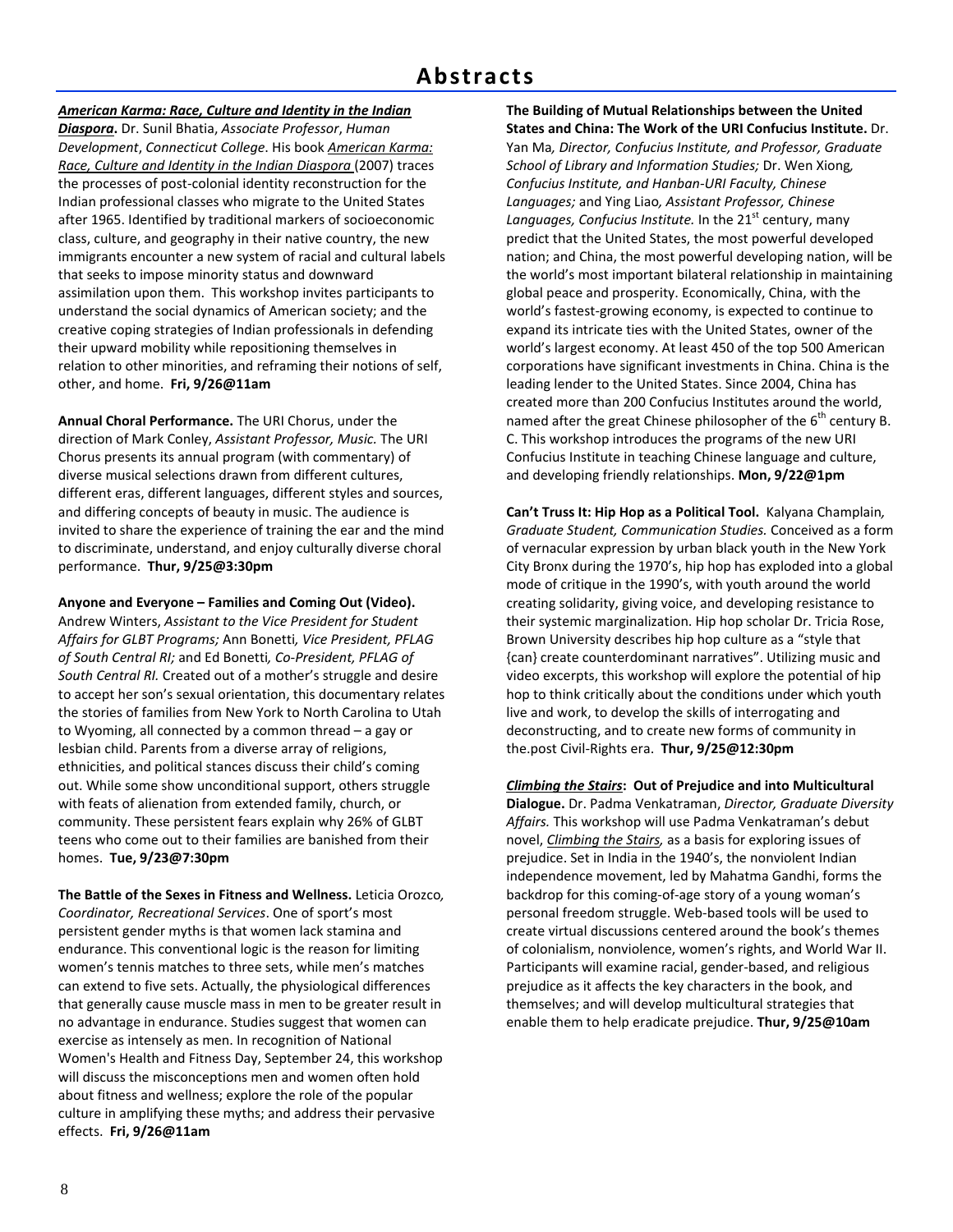## **Abstracts**

### *American Karma: Race, Culture and Identity in the Indian*

*Diaspora***.** Dr. Sunil Bhatia, *Associate Professor*, *Human Development*, *Connecticut College*. His book *American Karma: Race, Culture and Identity in the Indian Diaspora* (2007) traces the processes of post‐colonial identity reconstruction for the Indian professional classes who migrate to the United States after 1965. Identified by traditional markers of socioeconomic class, culture, and geography in their native country, the new immigrants encounter a new system of racial and cultural labels that seeks to impose minority status and downward assimilation upon them. This workshop invites participants to understand the social dynamics of American society; and the creative coping strategies of Indian professionals in defending their upward mobility while repositioning themselves in relation to other minorities, and reframing their notions of self, other, and home. **Fri, 9/26@11am**

**Annual Choral Performance.** The URI Chorus, under the direction of Mark Conley, *Assistant Professor, Music.* The URI Chorus presents its annual program (with commentary) of diverse musical selections drawn from different cultures, different eras, different languages, different styles and sources, and differing concepts of beauty in music. The audience is invited to share the experience of training the ear and the mind to discriminate, understand, and enjoy culturally diverse choral performance. **Thur, 9/25@3:30pm**

#### **Anyone and Everyone – Families and Coming Out (Video).**

Andrew Winters, *Assistant to the Vice President for Student Affairs for GLBT Programs;* Ann Bonetti*, Vice President, PFLAG of South Central RI;* and Ed Bonetti*, Co‐President, PFLAG of South Central RI.* Created out of a mother's struggle and desire to accept her son's sexual orientation, this documentary relates the stories of families from New York to North Carolina to Utah to Wyoming, all connected by a common thread – a gay or lesbian child. Parents from a diverse array of religions, ethnicities, and political stances discuss their child's coming out. While some show unconditional support, others struggle with feats of alienation from extended family, church, or community. These persistent fears explain why 26% of GLBT teens who come out to their families are banished from their homes. **Tue, 9/23@7:30pm**

**The Battle of the Sexes in Fitness and Wellness.** Leticia Orozco*, Coordinator, Recreational Services*. One of sport's most persistent gender myths is that women lack stamina and endurance. This conventional logic is the reason for limiting women's tennis matches to three sets, while men's matches can extend to five sets. Actually, the physiological differences that generally cause muscle mass in men to be greater result in no advantage in endurance. Studies suggest that women can exercise as intensely as men. In recognition of National Women's Health and Fitness Day, September 24, this workshop will discuss the misconceptions men and women often hold about fitness and wellness; explore the role of the popular culture in amplifying these myths; and address their pervasive effects. **Fri, 9/26@11am**

**The Building of Mutual Relationships between the United States and China: The Work of the URI Confucius Institute.** Dr. Yan Ma*, Director, Confucius Institute, and Professor, Graduate School of Library and Information Studies;* Dr. Wen Xiong*, Confucius Institute, and Hanban‐URI Faculty, Chinese Languages;* and Ying Liao*, Assistant Professor, Chinese* Languages, Confucius Institute. In the 21<sup>st</sup> century, many predict that the United States, the most powerful developed nation; and China, the most powerful developing nation, will be the world's most important bilateral relationship in maintaining global peace and prosperity. Economically, China, with the world's fastest‐growing economy, is expected to continue to expand its intricate ties with the United States, owner of the world's largest economy. At least 450 of the top 500 American corporations have significant investments in China. China is the leading lender to the United States. Since 2004, China has created more than 200 Confucius Institutes around the world, named after the great Chinese philosopher of the  $6<sup>th</sup>$  century B. C. This workshop introduces the programs of the new URI Confucius Institute in teaching Chinese language and culture, and developing friendly relationships. **Mon, 9/22@1pm**

**Can't Truss It: Hip Hop as a Political Tool.** Kalyana Champlain*, Graduate Student, Communication Studies.* Conceived as a form of vernacular expression by urban black youth in the New York City Bronx during the 1970's, hip hop has exploded into a global mode of critique in the 1990's, with youth around the world creating solidarity, giving voice, and developing resistance to their systemic marginalization. Hip hop scholar Dr. Tricia Rose, Brown University describes hip hop culture as a "style that {can} create counterdominant narratives". Utilizing music and video excerpts, this workshop will explore the potential of hip hop to think critically about the conditions under which youth live and work, to develop the skills of interrogating and deconstructing, and to create new forms of community in the.post Civil‐Rights era. **Thur, 9/25@12:30pm**

#### *Climbing the Stairs***: Out of Prejudice and into Multicultural**

**Dialogue.** Dr. Padma Venkatraman, *Director, Graduate Diversity Affairs.* This workshop will use Padma Venkatraman's debut novel, *Climbing the Stairs,* as a basis for exploring issues of prejudice. Set in India in the 1940's, the nonviolent Indian independence movement, led by Mahatma Gandhi, forms the backdrop for this coming‐of‐age story of a young woman's personal freedom struggle. Web‐based tools will be used to create virtual discussions centered around the book's themes of colonialism, nonviolence, women's rights, and World War II. Participants will examine racial, gender‐based, and religious prejudice as it affects the key characters in the book, and themselves; and will develop multicultural strategies that enable them to help eradicate prejudice. **Thur, 9/25@10am**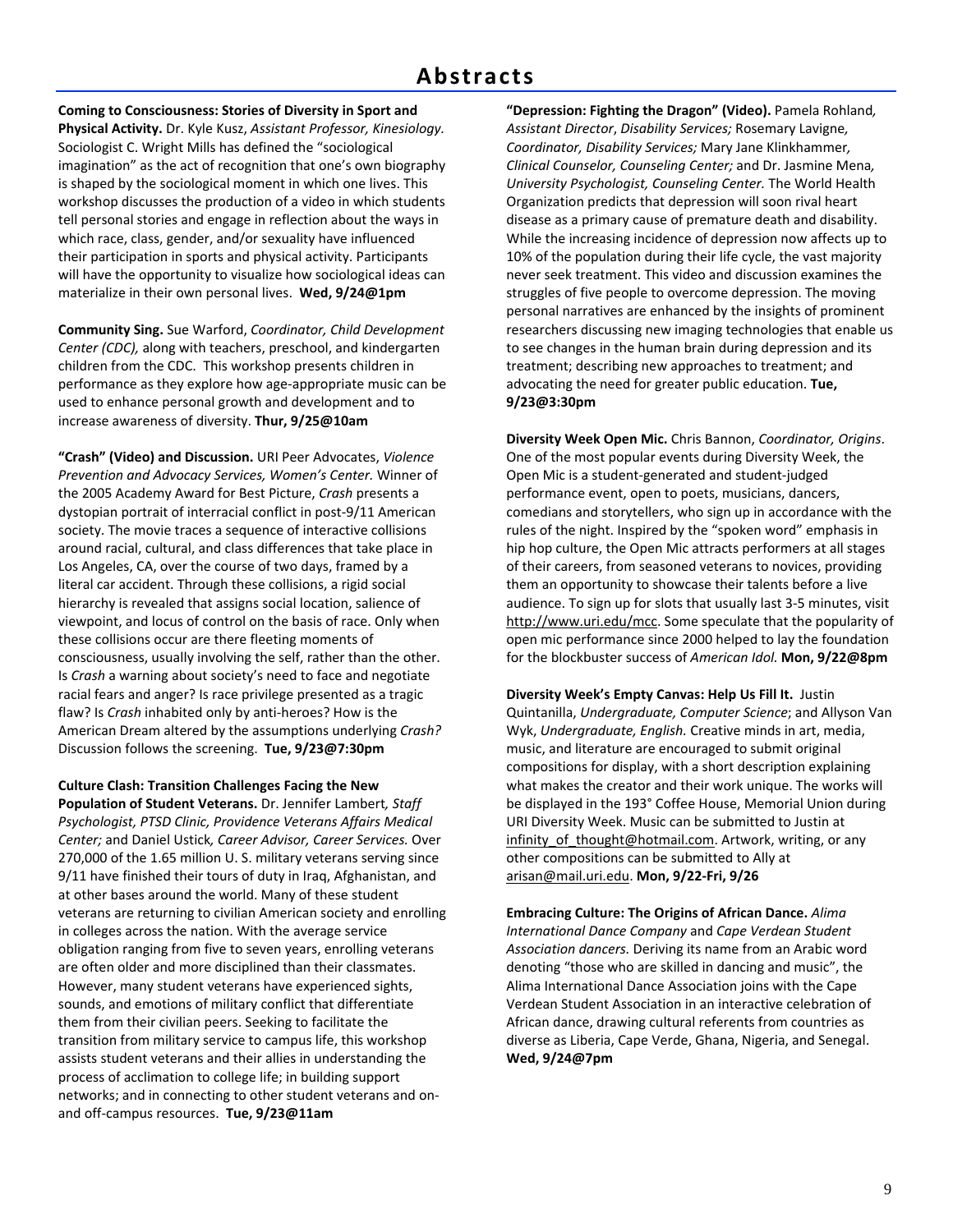**Coming to Consciousness: Stories of Diversity in Sport and Physical Activity.** Dr. Kyle Kusz, *Assistant Professor, Kinesiology.* Sociologist C. Wright Mills has defined the "sociological imagination" as the act of recognition that one's own biography is shaped by the sociological moment in which one lives. This workshop discusses the production of a video in which students tell personal stories and engage in reflection about the ways in which race, class, gender, and/or sexuality have influenced their participation in sports and physical activity. Participants will have the opportunity to visualize how sociological ideas can materialize in their own personal lives. **Wed, 9/24@1pm**

**Community Sing.** Sue Warford, *Coordinator, Child Development Center (CDC),* along with teachers, preschool, and kindergarten children from the CDC. This workshop presents children in performance as they explore how age‐appropriate music can be used to enhance personal growth and development and to increase awareness of diversity. **Thur, 9/25@10am**

**"Crash" (Video) and Discussion.** URI Peer Advocates, *Violence Prevention and Advocacy Services, Women's Center.* Winner of the 2005 Academy Award for Best Picture, *Crash* presents a dystopian portrait of interracial conflict in post‐9/11 American society. The movie traces a sequence of interactive collisions around racial, cultural, and class differences that take place in Los Angeles, CA, over the course of two days, framed by a literal car accident. Through these collisions, a rigid social hierarchy is revealed that assigns social location, salience of viewpoint, and locus of control on the basis of race. Only when these collisions occur are there fleeting moments of consciousness, usually involving the self, rather than the other. Is *Crash* a warning about society's need to face and negotiate racial fears and anger? Is race privilege presented as a tragic flaw? Is *Crash* inhabited only by anti‐heroes? How is the American Dream altered by the assumptions underlying *Crash?* Discussion follows the screening. **Tue, 9/23@7:30pm**

**Culture Clash: Transition Challenges Facing the New Population of Student Veterans.** Dr. Jennifer Lambert*, Staff Psychologist, PTSD Clinic, Providence Veterans Affairs Medical Center;* and Daniel Ustick*, Career Advisor, Career Services.* Over 270,000 of the 1.65 million U. S. military veterans serving since 9/11 have finished their tours of duty in Iraq, Afghanistan, and at other bases around the world. Many of these student veterans are returning to civilian American society and enrolling in colleges across the nation. With the average service obligation ranging from five to seven years, enrolling veterans are often older and more disciplined than their classmates. However, many student veterans have experienced sights, sounds, and emotions of military conflict that differentiate them from their civilian peers. Seeking to facilitate the transition from military service to campus life, this workshop assists student veterans and their allies in understanding the process of acclimation to college life; in building support networks; and in connecting to other student veterans and on‐ and off‐campus resources. **Tue, 9/23@11am**

**"Depression: Fighting the Dragon" (Video).** Pamela Rohland*, Assistant Director*, *Disability Services;* Rosemary Lavigne*, Coordinator, Disability Services;* Mary Jane Klinkhammer*, Clinical Counselor, Counseling Center;* and Dr. Jasmine Mena*, University Psychologist, Counseling Center.* The World Health Organization predicts that depression will soon rival heart disease as a primary cause of premature death and disability. While the increasing incidence of depression now affects up to 10% of the population during their life cycle, the vast majority never seek treatment. This video and discussion examines the struggles of five people to overcome depression. The moving personal narratives are enhanced by the insights of prominent researchers discussing new imaging technologies that enable us to see changes in the human brain during depression and its treatment; describing new approaches to treatment; and advocating the need for greater public education. **Tue, 9/23@3:30pm**

**Diversity Week Open Mic.** Chris Bannon, *Coordinator, Origins*. One of the most popular events during Diversity Week, the Open Mic is a student‐generated and student‐judged performance event, open to poets, musicians, dancers, comedians and storytellers, who sign up in accordance with the rules of the night. Inspired by the "spoken word" emphasis in hip hop culture, the Open Mic attracts performers at all stages of their careers, from seasoned veterans to novices, providing them an opportunity to showcase their talents before a live audience. To sign up for slots that usually last 3‐5 minutes, visit http://www.uri.edu/mcc. Some speculate that the popularity of open mic performance since 2000 helped to lay the foundation for the blockbuster success of *American Idol.* **Mon, 9/22@8pm**

**Diversity Week's Empty Canvas: Help Us Fill It.** Justin Quintanilla, *Undergraduate, Computer Science*; and Allyson Van Wyk, *Undergraduate, English.* Creative minds in art, media, music, and literature are encouraged to submit original compositions for display, with a short description explaining what makes the creator and their work unique. The works will be displayed in the 193° Coffee House, Memorial Union during URI Diversity Week. Music can be submitted to Justin at infinity\_of\_thought@hotmail.com. Artwork, writing, or any other compositions can be submitted to Ally at arisan@mail.uri.edu. **Mon, 9/22‐Fri, 9/26**

**Embracing Culture: The Origins of African Dance.** *Alima International Dance Company* and *Cape Verdean Student Association dancers.* Deriving its name from an Arabic word denoting "those who are skilled in dancing and music", the Alima International Dance Association joins with the Cape Verdean Student Association in an interactive celebration of African dance, drawing cultural referents from countries as diverse as Liberia, Cape Verde, Ghana, Nigeria, and Senegal. **Wed, 9/24@7pm**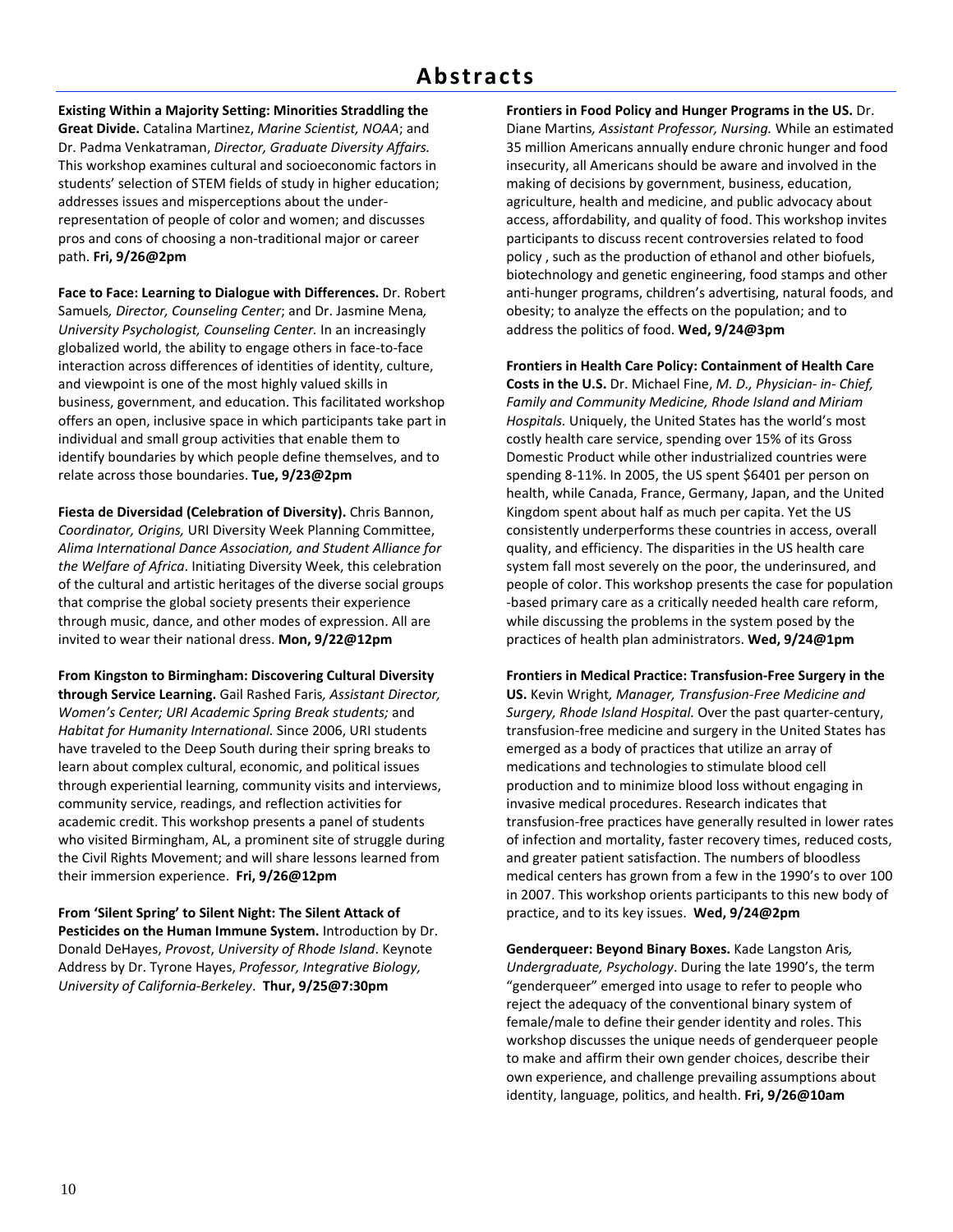## **Abstracts**

**Existing Within a Majority Setting: Minorities Straddling the Great Divide.** Catalina Martinez, *Marine Scientist, NOAA*; and Dr. Padma Venkatraman, *Director, Graduate Diversity Affairs.* This workshop examines cultural and socioeconomic factors in students' selection of STEM fields of study in higher education; addresses issues and misperceptions about the under‐ representation of people of color and women; and discusses pros and cons of choosing a non‐traditional major or career path. **Fri, 9/26@2pm**

**Face to Face: Learning to Dialogue with Differences.** Dr. Robert Samuels*, Director, Counseling Center*; and Dr. Jasmine Mena*, University Psychologist, Counseling Center.* In an increasingly globalized world, the ability to engage others in face‐to‐face interaction across differences of identities of identity, culture, and viewpoint is one of the most highly valued skills in business, government, and education. This facilitated workshop offers an open, inclusive space in which participants take part in individual and small group activities that enable them to identify boundaries by which people define themselves, and to relate across those boundaries. **Tue, 9/23@2pm**

**Fiesta de Diversidad (Celebration of Diversity).** Chris Bannon, *Coordinator, Origins,* URI Diversity Week Planning Committee, *Alima International Dance Association, and Student Alliance for the Welfare of Africa*. Initiating Diversity Week, this celebration of the cultural and artistic heritages of the diverse social groups that comprise the global society presents their experience through music, dance, and other modes of expression. All are invited to wear their national dress. **Mon, 9/22@12pm**

**From Kingston to Birmingham: Discovering Cultural Diversity through Service Learning.** Gail Rashed Faris*, Assistant Director, Women's Center; URI Academic Spring Break students;* and *Habitat for Humanity International.* Since 2006, URI students have traveled to the Deep South during their spring breaks to learn about complex cultural, economic, and political issues through experiential learning, community visits and interviews, community service, readings, and reflection activities for academic credit. This workshop presents a panel of students who visited Birmingham, AL, a prominent site of struggle during the Civil Rights Movement; and will share lessons learned from their immersion experience. **Fri, 9/26@12pm**

**From 'Silent Spring' to Silent Night: The Silent Attack of Pesticides on the Human Immune System.** Introduction by Dr. Donald DeHayes, *Provost*, *University of Rhode Island*. Keynote Address by Dr. Tyrone Hayes, *Professor, Integrative Biology, University of California‐Berkeley*. **Thur, 9/25@7:30pm**

**Frontiers in Food Policy and Hunger Programs in the US.** Dr. Diane Martins*, Assistant Professor, Nursing.* While an estimated 35 million Americans annually endure chronic hunger and food insecurity, all Americans should be aware and involved in the making of decisions by government, business, education, agriculture, health and medicine, and public advocacy about access, affordability, and quality of food. This workshop invites participants to discuss recent controversies related to food policy , such as the production of ethanol and other biofuels, biotechnology and genetic engineering, food stamps and other anti-hunger programs, children's advertising, natural foods, and obesity; to analyze the effects on the population; and to address the politics of food. **Wed, 9/24@3pm**

**Frontiers in Health Care Policy: Containment of Health Care Costs in the U.S.** Dr. Michael Fine, *M. D., Physician‐ in‐ Chief, Family and Community Medicine, Rhode Island and Miriam Hospitals.* Uniquely, the United States has the world's most costly health care service, spending over 15% of its Gross Domestic Product while other industrialized countries were spending 8‐11%. In 2005, the US spent \$6401 per person on health, while Canada, France, Germany, Japan, and the United Kingdom spent about half as much per capita. Yet the US consistently underperforms these countries in access, overall quality, and efficiency. The disparities in the US health care system fall most severely on the poor, the underinsured, and people of color. This workshop presents the case for population ‐based primary care as a critically needed health care reform, while discussing the problems in the system posed by the practices of health plan administrators. **Wed, 9/24@1pm**

**Frontiers in Medical Practice: Transfusion‐Free Surgery in the US.** Kevin Wright*, Manager, Transfusion‐Free Medicine and Surgery, Rhode Island Hospital.* Over the past quarter‐century, transfusion‐free medicine and surgery in the United States has emerged as a body of practices that utilize an array of medications and technologies to stimulate blood cell production and to minimize blood loss without engaging in invasive medical procedures. Research indicates that transfusion‐free practices have generally resulted in lower rates of infection and mortality, faster recovery times, reduced costs, and greater patient satisfaction. The numbers of bloodless medical centers has grown from a few in the 1990's to over 100 in 2007. This workshop orients participants to this new body of practice, and to its key issues. **Wed, 9/24@2pm**

**Genderqueer: Beyond Binary Boxes.** Kade Langston Aris*, Undergraduate, Psychology*. During the late 1990's, the term "genderqueer" emerged into usage to refer to people who reject the adequacy of the conventional binary system of female/male to define their gender identity and roles. This workshop discusses the unique needs of genderqueer people to make and affirm their own gender choices, describe their own experience, and challenge prevailing assumptions about identity, language, politics, and health. **Fri, 9/26@10am**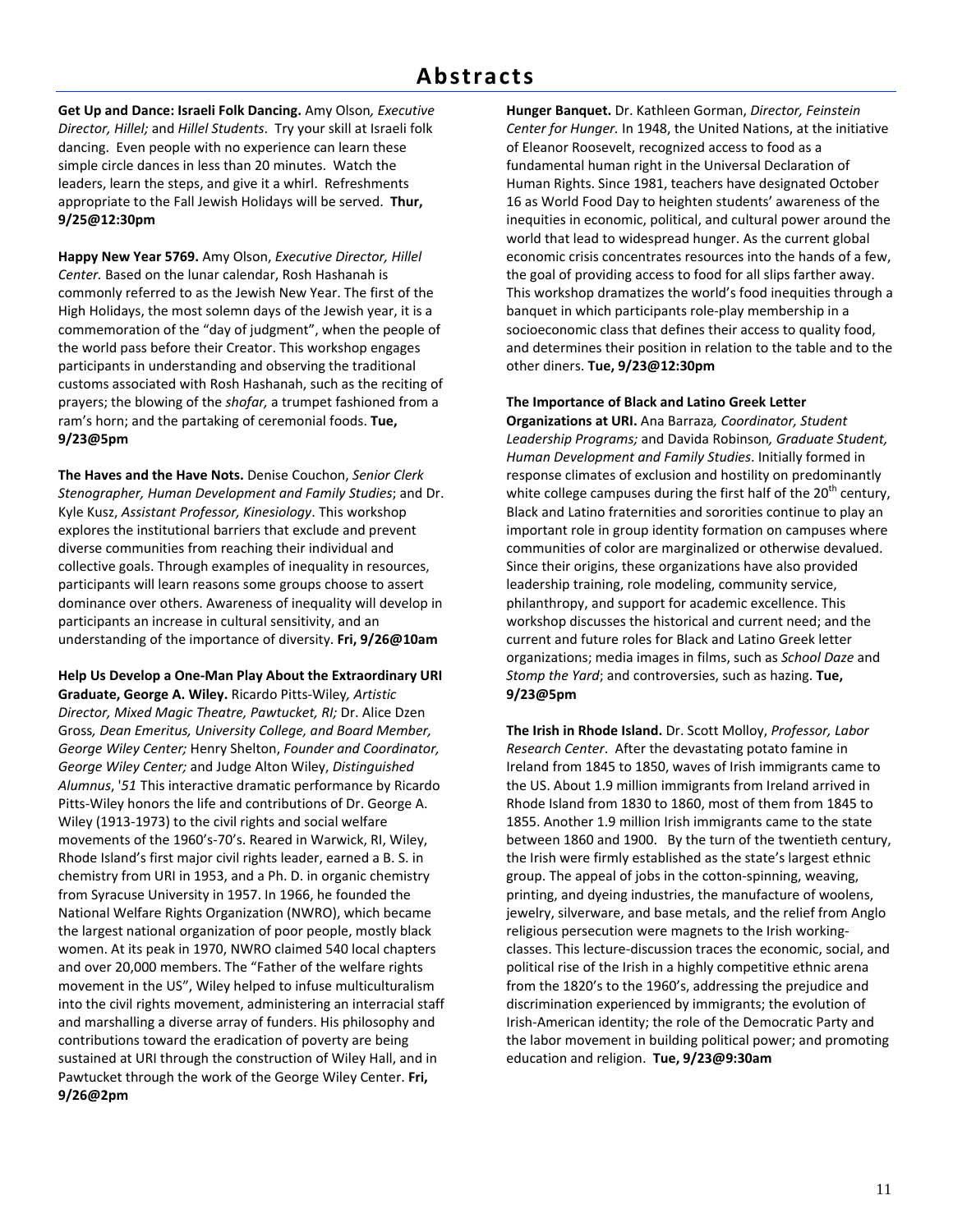**Get Up and Dance: Israeli Folk Dancing.** Amy Olson*, Executive Director, Hillel;* and *Hillel Students*. Try your skill at Israeli folk dancing. Even people with no experience can learn these simple circle dances in less than 20 minutes. Watch the leaders, learn the steps, and give it a whirl. Refreshments appropriate to the Fall Jewish Holidays will be served. **Thur, 9/25@12:30pm**

**Happy New Year 5769.** Amy Olson, *Executive Director, Hillel Center.* Based on the lunar calendar, Rosh Hashanah is commonly referred to as the Jewish New Year. The first of the High Holidays, the most solemn days of the Jewish year, it is a commemoration of the "day of judgment", when the people of the world pass before their Creator. This workshop engages participants in understanding and observing the traditional customs associated with Rosh Hashanah, such as the reciting of prayers; the blowing of the *shofar,* a trumpet fashioned from a ram's horn; and the partaking of ceremonial foods. **Tue, 9/23@5pm**

**The Haves and the Have Nots.** Denise Couchon, *Senior Clerk Stenographer, Human Development and Family Studies*; and Dr. Kyle Kusz, *Assistant Professor, Kinesiology*. This workshop explores the institutional barriers that exclude and prevent diverse communities from reaching their individual and collective goals. Through examples of inequality in resources, participants will learn reasons some groups choose to assert dominance over others. Awareness of inequality will develop in participants an increase in cultural sensitivity, and an understanding of the importance of diversity. **Fri, 9/26@10am**

**Help Us Develop a One‐Man Play About the Extraordinary URI Graduate, George A. Wiley.** Ricardo Pitts‐Wiley*, Artistic Director, Mixed Magic Theatre, Pawtucket, RI;* Dr. Alice Dzen Gross*, Dean Emeritus, University College, and Board Member, George Wiley Center;* Henry Shelton, *Founder and Coordinator, George Wiley Center;* and Judge Alton Wiley, *Distinguished Alumnus*, '*51* This interactive dramatic performance by Ricardo Pitts‐Wiley honors the life and contributions of Dr. George A. Wiley (1913‐1973) to the civil rights and social welfare movements of the 1960's‐70's. Reared in Warwick, RI, Wiley, Rhode Island's first major civil rights leader, earned a B. S. in chemistry from URI in 1953, and a Ph. D. in organic chemistry from Syracuse University in 1957. In 1966, he founded the National Welfare Rights Organization (NWRO), which became the largest national organization of poor people, mostly black women. At its peak in 1970, NWRO claimed 540 local chapters and over 20,000 members. The "Father of the welfare rights movement in the US", Wiley helped to infuse multiculturalism into the civil rights movement, administering an interracial staff and marshalling a diverse array of funders. His philosophy and contributions toward the eradication of poverty are being sustained at URI through the construction of Wiley Hall, and in Pawtucket through the work of the George Wiley Center. **Fri, 9/26@2pm**

**Hunger Banquet.** Dr. Kathleen Gorman, *Director, Feinstein Center for Hunger.* In 1948, the United Nations, at the initiative of Eleanor Roosevelt, recognized access to food as a fundamental human right in the Universal Declaration of Human Rights. Since 1981, teachers have designated October 16 as World Food Day to heighten students' awareness of the inequities in economic, political, and cultural power around the world that lead to widespread hunger. As the current global economic crisis concentrates resources into the hands of a few, the goal of providing access to food for all slips farther away. This workshop dramatizes the world's food inequities through a banquet in which participants role‐play membership in a socioeconomic class that defines their access to quality food, and determines their position in relation to the table and to the other diners. **Tue, 9/23@12:30pm**

### **The Importance of Black and Latino Greek Letter**

**Organizations at URI.** Ana Barraza*, Coordinator, Student Leadership Programs;* and Davida Robinson*, Graduate Student, Human Development and Family Studies*. Initially formed in response climates of exclusion and hostility on predominantly white college campuses during the first half of the  $20<sup>th</sup>$  century, Black and Latino fraternities and sororities continue to play an important role in group identity formation on campuses where communities of color are marginalized or otherwise devalued. Since their origins, these organizations have also provided leadership training, role modeling, community service, philanthropy, and support for academic excellence. This workshop discusses the historical and current need; and the current and future roles for Black and Latino Greek letter organizations; media images in films, such as *School Daze* and *Stomp the Yard*; and controversies, such as hazing. **Tue, 9/23@5pm**

**The Irish in Rhode Island.** Dr. Scott Molloy, *Professor, Labor Research Center*. After the devastating potato famine in Ireland from 1845 to 1850, waves of Irish immigrants came to the US. About 1.9 million immigrants from Ireland arrived in Rhode Island from 1830 to 1860, most of them from 1845 to 1855. Another 1.9 million Irish immigrants came to the state between 1860 and 1900. By the turn of the twentieth century, the Irish were firmly established as the state's largest ethnic group. The appeal of jobs in the cotton‐spinning, weaving, printing, and dyeing industries, the manufacture of woolens, jewelry, silverware, and base metals, and the relief from Anglo religious persecution were magnets to the Irish working‐ classes. This lecture‐discussion traces the economic, social, and political rise of the Irish in a highly competitive ethnic arena from the 1820's to the 1960's, addressing the prejudice and discrimination experienced by immigrants; the evolution of Irish‐American identity; the role of the Democratic Party and the labor movement in building political power; and promoting education and religion. **Tue, 9/23@9:30am**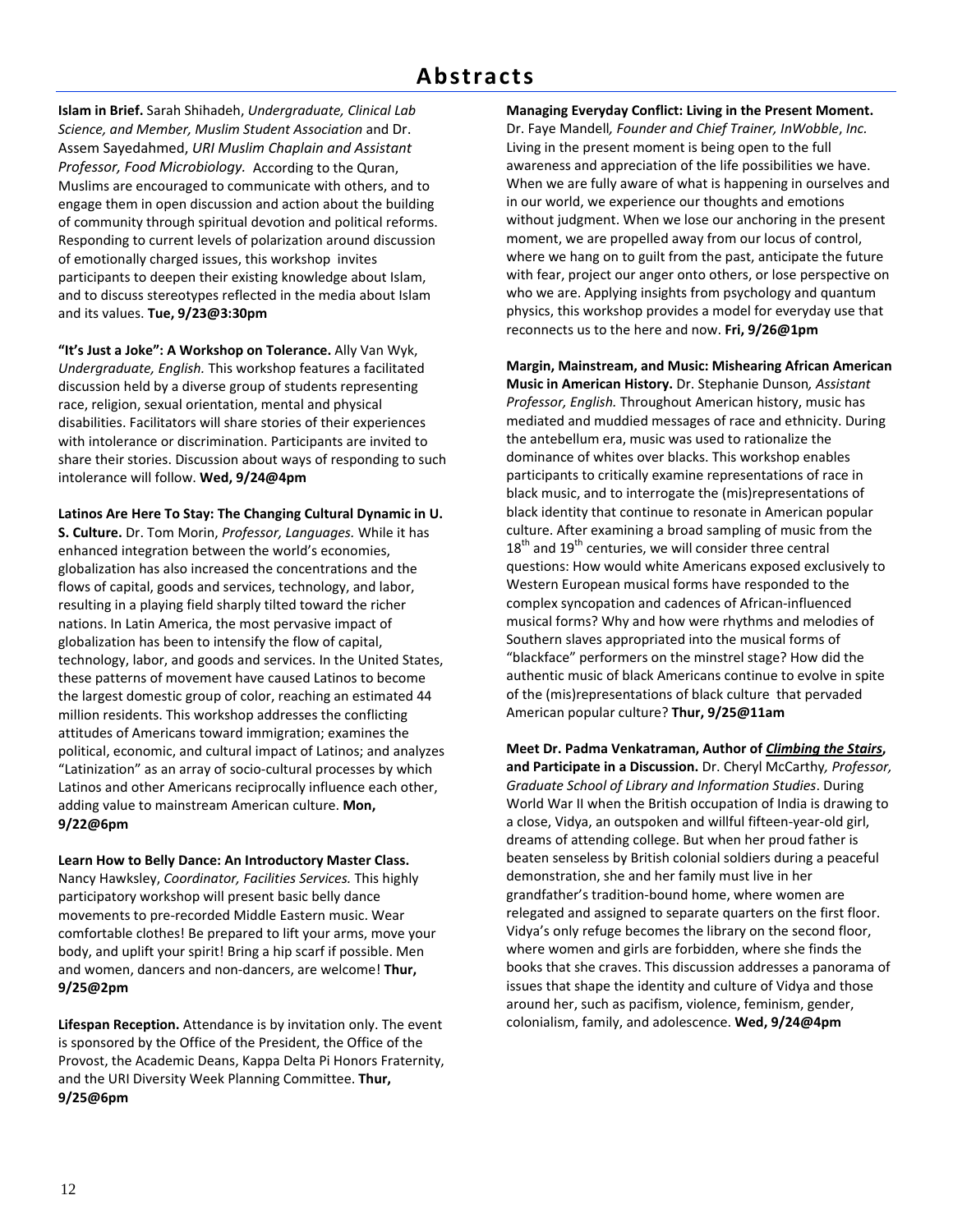## **Abstracts**

**Islam in Brief.** Sarah Shihadeh, *Undergraduate, Clinical Lab Science, and Member, Muslim Student Association* and Dr. Assem Sayedahmed, *URI Muslim Chaplain and Assistant Professor, Food Microbiology.* According to the Quran, Muslims are encouraged to communicate with others, and to engage them in open discussion and action about the building of community through spiritual devotion and political reforms. Responding to current levels of polarization around discussion of emotionally charged issues, this workshop invites participants to deepen their existing knowledge about Islam, and to discuss stereotypes reflected in the media about Islam and its values. **Tue, 9/23@3:30pm**

**"It's Just a Joke": A Workshop on Tolerance.** Ally Van Wyk, *Undergraduate, English.* This workshop features a facilitated discussion held by a diverse group of students representing race, religion, sexual orientation, mental and physical disabilities. Facilitators will share stories of their experiences with intolerance or discrimination. Participants are invited to share their stories. Discussion about ways of responding to such intolerance will follow. **Wed, 9/24@4pm**

**Latinos Are Here To Stay: The Changing Cultural Dynamic in U. S. Culture.** Dr. Tom Morin, *Professor, Languages.* While it has enhanced integration between the world's economies, globalization has also increased the concentrations and the flows of capital, goods and services, technology, and labor, resulting in a playing field sharply tilted toward the richer nations. In Latin America, the most pervasive impact of globalization has been to intensify the flow of capital, technology, labor, and goods and services. In the United States, these patterns of movement have caused Latinos to become the largest domestic group of color, reaching an estimated 44 million residents. This workshop addresses the conflicting attitudes of Americans toward immigration; examines the political, economic, and cultural impact of Latinos; and analyzes "Latinization" as an array of socio‐cultural processes by which Latinos and other Americans reciprocally influence each other, adding value to mainstream American culture. **Mon, 9/22@6pm**

**Learn How to Belly Dance: An Introductory Master Class.** Nancy Hawksley, *Coordinator, Facilities Services.* This highly participatory workshop will present basic belly dance movements to pre‐recorded Middle Eastern music. Wear comfortable clothes! Be prepared to lift your arms, move your body, and uplift your spirit! Bring a hip scarf if possible. Men and women, dancers and non‐dancers, are welcome! **Thur, 9/25@2pm**

**Lifespan Reception.** Attendance is by invitation only. The event is sponsored by the Office of the President, the Office of the Provost, the Academic Deans, Kappa Delta Pi Honors Fraternity, and the URI Diversity Week Planning Committee. **Thur, 9/25@6pm**

**Managing Everyday Conflict: Living in the Present Moment.** Dr. Faye Mandell*, Founder and Chief Trainer, InWobble*, *Inc.* Living in the present moment is being open to the full awareness and appreciation of the life possibilities we have. When we are fully aware of what is happening in ourselves and in our world, we experience our thoughts and emotions without judgment. When we lose our anchoring in the present moment, we are propelled away from our locus of control, where we hang on to guilt from the past, anticipate the future with fear, project our anger onto others, or lose perspective on who we are. Applying insights from psychology and quantum physics, this workshop provides a model for everyday use that reconnects us to the here and now. **Fri, 9/26@1pm**

**Margin, Mainstream, and Music: Mishearing African American Music in American History.** Dr. Stephanie Dunson*, Assistant Professor, English.* Throughout American history, music has mediated and muddied messages of race and ethnicity. During the antebellum era, music was used to rationalize the dominance of whites over blacks. This workshop enables participants to critically examine representations of race in black music, and to interrogate the (mis)representations of black identity that continue to resonate in American popular culture. After examining a broad sampling of music from the  $18<sup>th</sup>$  and  $19<sup>th</sup>$  centuries, we will consider three central questions: How would white Americans exposed exclusively to Western European musical forms have responded to the complex syncopation and cadences of African‐influenced musical forms? Why and how were rhythms and melodies of Southern slaves appropriated into the musical forms of "blackface" performers on the minstrel stage? How did the authentic music of black Americans continue to evolve in spite of the (mis)representations of black culture that pervaded American popular culture? **Thur, 9/25@11am**

**Meet Dr. Padma Venkatraman, Author of** *Climbing the Stairs***, and Participate in a Discussion.** Dr. Cheryl McCarthy*, Professor, Graduate School of Library and Information Studies*. During World War II when the British occupation of India is drawing to a close, Vidya, an outspoken and willful fifteen‐year‐old girl, dreams of attending college. But when her proud father is beaten senseless by British colonial soldiers during a peaceful demonstration, she and her family must live in her grandfather's tradition‐bound home, where women are relegated and assigned to separate quarters on the first floor. Vidya's only refuge becomes the library on the second floor, where women and girls are forbidden, where she finds the books that she craves. This discussion addresses a panorama of issues that shape the identity and culture of Vidya and those around her, such as pacifism, violence, feminism, gender, colonialism, family, and adolescence. **Wed, 9/24@4pm**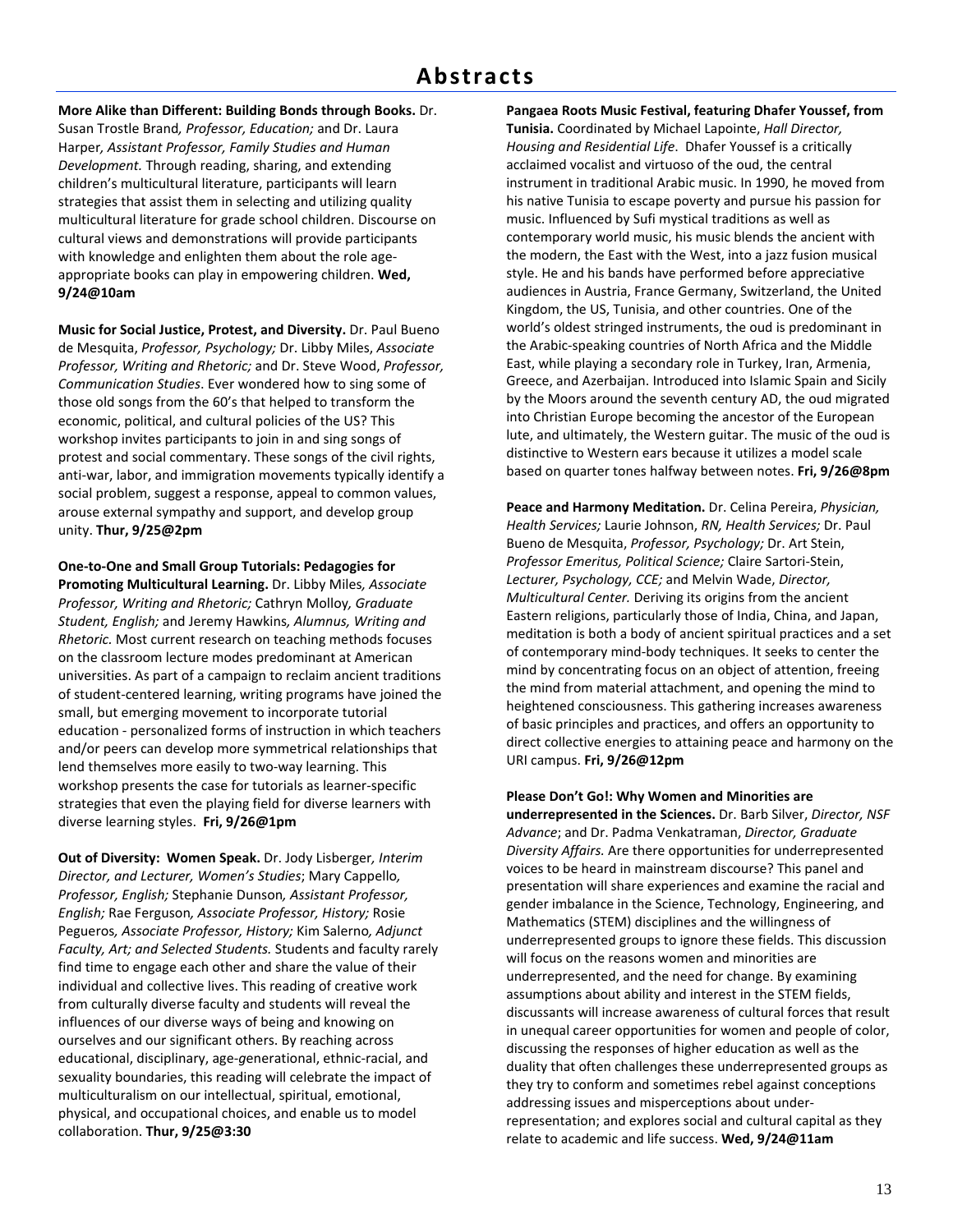**More Alike than Different: Building Bonds through Books.** Dr. Susan Trostle Brand*, Professor, Education;* and Dr. Laura Harper*, Assistant Professor, Family Studies and Human Development.* Through reading, sharing, and extending children's multicultural literature, participants will learn strategies that assist them in selecting and utilizing quality multicultural literature for grade school children. Discourse on cultural views and demonstrations will provide participants with knowledge and enlighten them about the role age‐ appropriate books can play in empowering children. **Wed, 9/24@10am**

**Music for Social Justice, Protest, and Diversity.** Dr. Paul Bueno de Mesquita, *Professor, Psychology;* Dr. Libby Miles, *Associate Professor, Writing and Rhetoric;* and Dr. Steve Wood, *Professor, Communication Studies*. Ever wondered how to sing some of those old songs from the 60's that helped to transform the economic, political, and cultural policies of the US? This workshop invites participants to join in and sing songs of protest and social commentary. These songs of the civil rights, anti-war, labor, and immigration movements typically identify a social problem, suggest a response, appeal to common values, arouse external sympathy and support, and develop group unity. **Thur, 9/25@2pm**

**One‐to‐One and Small Group Tutorials: Pedagogies for Promoting Multicultural Learning.** Dr. Libby Miles*, Associate Professor, Writing and Rhetoric;* Cathryn Molloy*, Graduate Student, English;* and Jeremy Hawkins*, Alumnus, Writing and Rhetoric.* Most current research on teaching methods focuses on the classroom lecture modes predominant at American universities. As part of a campaign to reclaim ancient traditions of student‐centered learning, writing programs have joined the small, but emerging movement to incorporate tutorial education ‐ personalized forms of instruction in which teachers and/or peers can develop more symmetrical relationships that lend themselves more easily to two‐way learning. This workshop presents the case for tutorials as learner‐specific strategies that even the playing field for diverse learners with diverse learning styles. **Fri, 9/26@1pm**

**Out of Diversity: Women Speak.** Dr. Jody Lisberger*, Interim Director, and Lecturer, Women's Studies*; Mary Cappello*, Professor, English;* Stephanie Dunson*, Assistant Professor, English;* Rae Ferguson*, Associate Professor, History;* Rosie Pegueros*, Associate Professor, History;* Kim Salerno*, Adjunct Faculty, Art; and Selected Students.* Students and faculty rarely find time to engage each other and share the value of their individual and collective lives. This reading of creative work from culturally diverse faculty and students will reveal the influences of our diverse ways of being and knowing on ourselves and our significant others. By reaching across educational, disciplinary, age‐*g*enerational, ethnic‐racial, and sexuality boundaries, this reading will celebrate the impact of multiculturalism on our intellectual, spiritual, emotional, physical, and occupational choices, and enable us to model collaboration. **Thur, 9/25@3:30**

**Pangaea Roots Music Festival, featuring Dhafer Youssef, from Tunisia.** Coordinated by Michael Lapointe, *Hall Director, Housing and Residential Life*. Dhafer Youssef is a critically acclaimed vocalist and virtuoso of the oud, the central instrument in traditional Arabic music. In 1990, he moved from his native Tunisia to escape poverty and pursue his passion for music. Influenced by Sufi mystical traditions as well as contemporary world music, his music blends the ancient with the modern, the East with the West, into a jazz fusion musical style. He and his bands have performed before appreciative audiences in Austria, France Germany, Switzerland, the United Kingdom, the US, Tunisia, and other countries. One of the world's oldest stringed instruments, the oud is predominant in the Arabic‐speaking countries of North Africa and the Middle East, while playing a secondary role in Turkey, Iran, Armenia, Greece, and Azerbaijan. Introduced into Islamic Spain and Sicily by the Moors around the seventh century AD, the oud migrated into Christian Europe becoming the ancestor of the European lute, and ultimately, the Western guitar. The music of the oud is distinctive to Western ears because it utilizes a model scale based on quarter tones halfway between notes. **Fri, 9/26@8pm**

**Peace and Harmony Meditation.** Dr. Celina Pereira, *Physician, Health Services;* Laurie Johnson, *RN, Health Services;* Dr. Paul Bueno de Mesquita, *Professor, Psychology;* Dr. Art Stein, *Professor Emeritus, Political Science;* Claire Sartori‐Stein, *Lecturer, Psychology, CCE;* and Melvin Wade, *Director, Multicultural Center.* Deriving its origins from the ancient Eastern religions, particularly those of India, China, and Japan, meditation is both a body of ancient spiritual practices and a set of contemporary mind‐body techniques. It seeks to center the mind by concentrating focus on an object of attention, freeing the mind from material attachment, and opening the mind to heightened consciousness. This gathering increases awareness of basic principles and practices, and offers an opportunity to direct collective energies to attaining peace and harmony on the URI campus. **Fri, 9/26@12pm**

### **Please Don't Go!: Why Women and Minorities are**

**underrepresented in the Sciences.** Dr. Barb Silver, *Director, NSF Advance*; and Dr. Padma Venkatraman, *Director, Graduate Diversity Affairs.* Are there opportunities for underrepresented voices to be heard in mainstream discourse? This panel and presentation will share experiences and examine the racial and gender imbalance in the Science, Technology, Engineering, and Mathematics (STEM) disciplines and the willingness of underrepresented groups to ignore these fields. This discussion will focus on the reasons women and minorities are underrepresented, and the need for change. By examining assumptions about ability and interest in the STEM fields, discussants will increase awareness of cultural forces that result in unequal career opportunities for women and people of color, discussing the responses of higher education as well as the duality that often challenges these underrepresented groups as they try to conform and sometimes rebel against conceptions addressing issues and misperceptions about under‐ representation; and explores social and cultural capital as they relate to academic and life success. **Wed, 9/24@11am**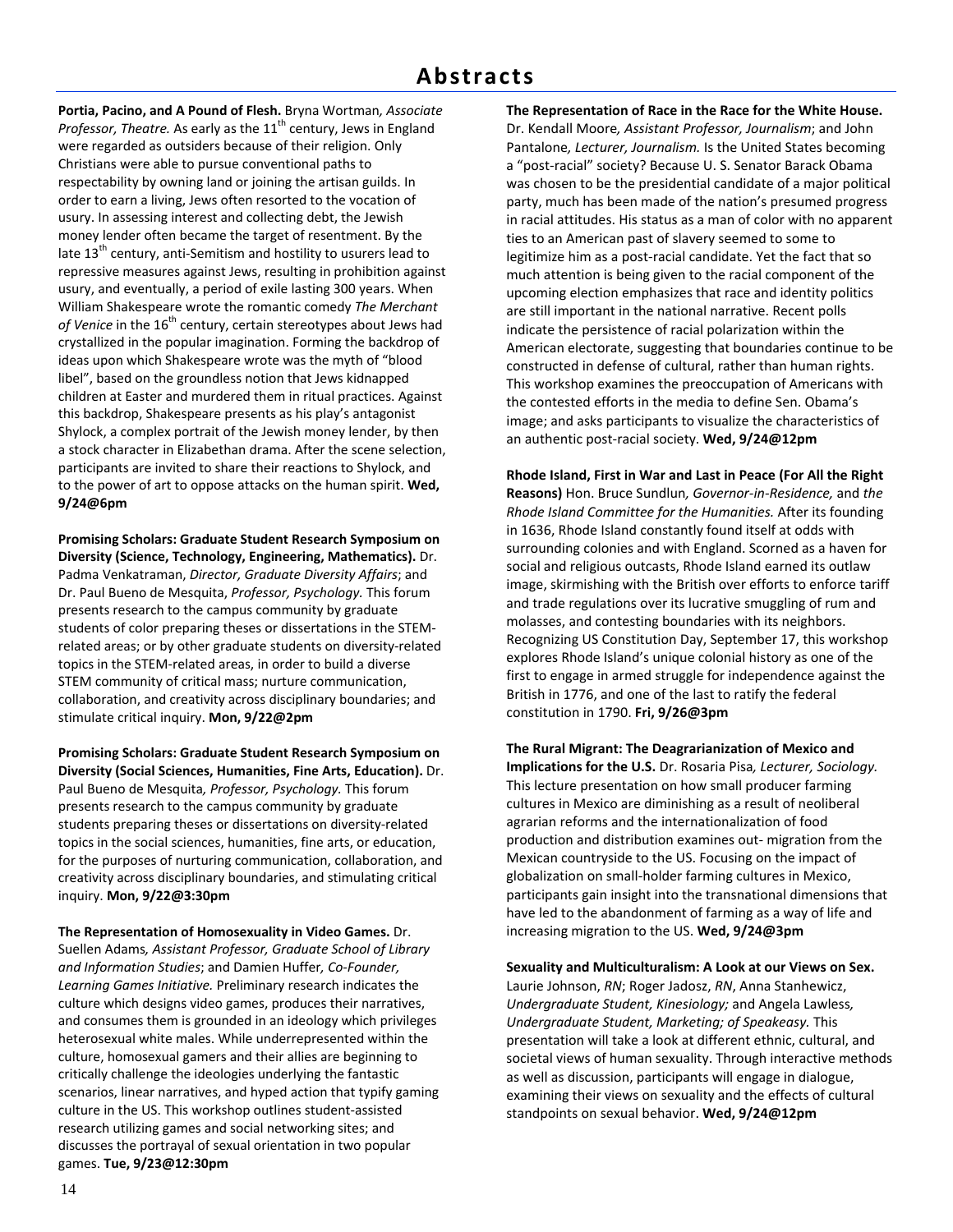**Portia, Pacino, and A Pound of Flesh.** Bryna Wortman*, Associate Professor, Theatre.* As early as the 11<sup>th</sup> century, Jews in England were regarded as outsiders because of their religion. Only Christians were able to pursue conventional paths to respectability by owning land or joining the artisan guilds. In order to earn a living, Jews often resorted to the vocation of usury. In assessing interest and collecting debt, the Jewish money lender often became the target of resentment. By the late  $13<sup>th</sup>$  century, anti-Semitism and hostility to usurers lead to repressive measures against Jews, resulting in prohibition against usury, and eventually, a period of exile lasting 300 years. When William Shakespeare wrote the romantic comedy *The Merchant* of Venice in the 16<sup>th</sup> century, certain stereotypes about Jews had crystallized in the popular imagination. Forming the backdrop of ideas upon which Shakespeare wrote was the myth of "blood libel", based on the groundless notion that Jews kidnapped children at Easter and murdered them in ritual practices. Against this backdrop, Shakespeare presents as his play's antagonist Shylock, a complex portrait of the Jewish money lender, by then a stock character in Elizabethan drama. After the scene selection, participants are invited to share their reactions to Shylock, and to the power of art to oppose attacks on the human spirit. **Wed, 9/24@6pm**

**Promising Scholars: Graduate Student Research Symposium on Diversity (Science, Technology, Engineering, Mathematics).** Dr. Padma Venkatraman, *Director, Graduate Diversity Affairs*; and Dr. Paul Bueno de Mesquita, *Professor, Psychology.* This forum presents research to the campus community by graduate students of color preparing theses or dissertations in the STEM‐ related areas; or by other graduate students on diversity‐related topics in the STEM‐related areas, in order to build a diverse STEM community of critical mass; nurture communication, collaboration, and creativity across disciplinary boundaries; and stimulate critical inquiry. **Mon, 9/22@2pm**

**Promising Scholars: Graduate Student Research Symposium on Diversity (Social Sciences, Humanities, Fine Arts, Education).** Dr. Paul Bueno de Mesquita*, Professor, Psychology.* This forum presents research to the campus community by graduate students preparing theses or dissertations on diversity‐related topics in the social sciences, humanities, fine arts, or education, for the purposes of nurturing communication, collaboration, and creativity across disciplinary boundaries, and stimulating critical inquiry. **Mon, 9/22@3:30pm**

**The Representation of Homosexuality in Video Games.** Dr. Suellen Adams*, Assistant Professor, Graduate School of Library and Information Studies*; and Damien Huffer*, Co‐Founder, Learning Games Initiative.* Preliminary research indicates the culture which designs video games, produces their narratives, and consumes them is grounded in an ideology which privileges heterosexual white males. While underrepresented within the culture, homosexual gamers and their allies are beginning to critically challenge the ideologies underlying the fantastic scenarios, linear narratives, and hyped action that typify gaming culture in the US. This workshop outlines student‐assisted research utilizing games and social networking sites; and discusses the portrayal of sexual orientation in two popular games. **Tue, 9/23@12:30pm**

**The Representation of Race in the Race for the White House.** Dr. Kendall Moore*, Assistant Professor, Journalism*; and John Pantalone*, Lecturer, Journalism.* Is the United States becoming a "post‐racial" society? Because U. S. Senator Barack Obama was chosen to be the presidential candidate of a major political party, much has been made of the nation's presumed progress in racial attitudes. His status as a man of color with no apparent ties to an American past of slavery seemed to some to legitimize him as a post‐racial candidate. Yet the fact that so much attention is being given to the racial component of the upcoming election emphasizes that race and identity politics are still important in the national narrative. Recent polls indicate the persistence of racial polarization within the American electorate, suggesting that boundaries continue to be constructed in defense of cultural, rather than human rights. This workshop examines the preoccupation of Americans with the contested efforts in the media to define Sen. Obama's image; and asks participants to visualize the characteristics of an authentic post‐racial society. **Wed, 9/24@12pm**

**Rhode Island, First in War and Last in Peace (For All the Right Reasons)** Hon. Bruce Sundlun*, Governor‐in‐Residence,* and *the Rhode Island Committee for the Humanities.* After its founding in 1636, Rhode Island constantly found itself at odds with surrounding colonies and with England. Scorned as a haven for social and religious outcasts, Rhode Island earned its outlaw image, skirmishing with the British over efforts to enforce tariff and trade regulations over its lucrative smuggling of rum and molasses, and contesting boundaries with its neighbors. Recognizing US Constitution Day, September 17, this workshop explores Rhode Island's unique colonial history as one of the first to engage in armed struggle for independence against the British in 1776, and one of the last to ratify the federal constitution in 1790. **Fri, 9/26@3pm**

**The Rural Migrant: The Deagrarianization of Mexico and Implications for the U.S.** Dr. Rosaria Pisa*, Lecturer, Sociology.* This lecture presentation on how small producer farming cultures in Mexico are diminishing as a result of neoliberal agrarian reforms and the internationalization of food production and distribution examines out‐ migration from the Mexican countryside to the US. Focusing on the impact of globalization on small‐holder farming cultures in Mexico, participants gain insight into the transnational dimensions that have led to the abandonment of farming as a way of life and increasing migration to the US. **Wed, 9/24@3pm**

**Sexuality and Multiculturalism: A Look at our Views on Sex.** Laurie Johnson, *RN*; Roger Jadosz, *RN*, Anna Stanhewicz, *Undergraduate Student, Kinesiology;* and Angela Lawless*, Undergraduate Student, Marketing; of Speakeasy.* This presentation will take a look at different ethnic, cultural, and societal views of human sexuality. Through interactive methods as well as discussion, participants will engage in dialogue, examining their views on sexuality and the effects of cultural standpoints on sexual behavior. **Wed, 9/24@12pm**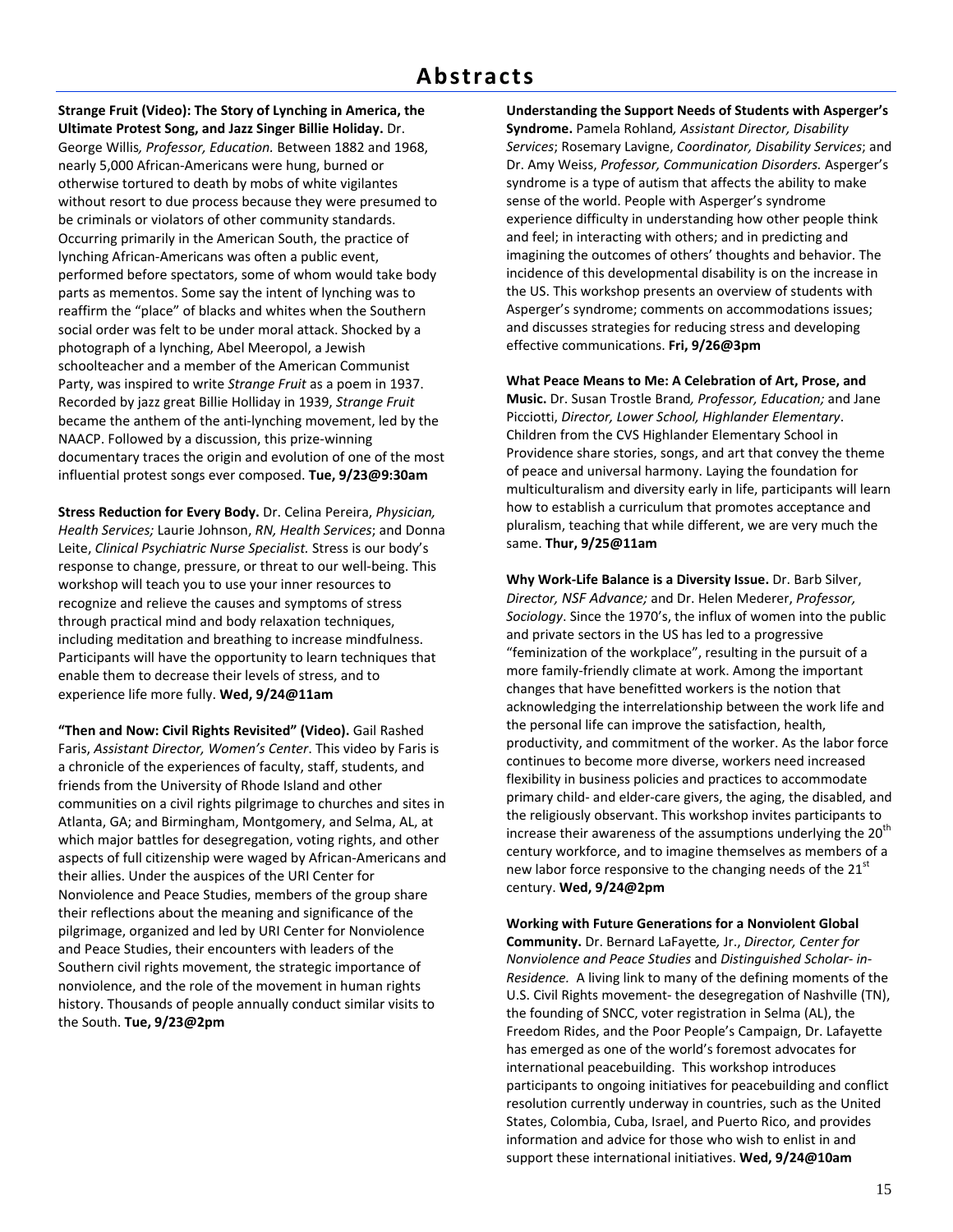**Strange Fruit (Video): The Story of Lynching in America, the Ultimate Protest Song, and Jazz Singer Billie Holiday.** Dr. George Willis*, Professor, Education.* Between 1882 and 1968, nearly 5,000 African‐Americans were hung, burned or otherwise tortured to death by mobs of white vigilantes without resort to due process because they were presumed to be criminals or violators of other community standards. Occurring primarily in the American South, the practice of lynching African‐Americans was often a public event, performed before spectators, some of whom would take body parts as mementos. Some say the intent of lynching was to reaffirm the "place" of blacks and whites when the Southern social order was felt to be under moral attack. Shocked by a photograph of a lynching, Abel Meeropol, a Jewish schoolteacher and a member of the American Communist Party, was inspired to write *Strange Fruit* as a poem in 1937. Recorded by jazz great Billie Holliday in 1939, *Strange Fruit* became the anthem of the anti‐lynching movement, led by the NAACP. Followed by a discussion, this prize‐winning documentary traces the origin and evolution of one of the most influential protest songs ever composed. **Tue, 9/23@9:30am**

**Stress Reduction for Every Body.** Dr. Celina Pereira, *Physician, Health Services;* Laurie Johnson, *RN, Health Services*; and Donna Leite, *Clinical Psychiatric Nurse Specialist.* Stress is our body's response to change, pressure, or threat to our well‐being. This workshop will teach you to use your inner resources to recognize and relieve the causes and symptoms of stress through practical mind and body relaxation techniques, including meditation and breathing to increase mindfulness. Participants will have the opportunity to learn techniques that enable them to decrease their levels of stress, and to experience life more fully. **Wed, 9/24@11am**

**"Then and Now: Civil Rights Revisited" (Video).** Gail Rashed Faris, *Assistant Director, Women's Center*. This video by Faris is a chronicle of the experiences of faculty, staff, students, and friends from the University of Rhode Island and other communities on a civil rights pilgrimage to churches and sites in Atlanta, GA; and Birmingham, Montgomery, and Selma, AL, at which major battles for desegregation, voting rights, and other aspects of full citizenship were waged by African‐Americans and their allies. Under the auspices of the URI Center for Nonviolence and Peace Studies, members of the group share their reflections about the meaning and significance of the pilgrimage, organized and led by URI Center for Nonviolence and Peace Studies, their encounters with leaders of the Southern civil rights movement, the strategic importance of nonviolence, and the role of the movement in human rights history. Thousands of people annually conduct similar visits to the South. **Tue, 9/23@2pm**

**Understanding the Support Needs of Students with Asperger's Syndrome.** Pamela Rohland*, Assistant Director, Disability Services*; Rosemary Lavigne, *Coordinator, Disability Services*; and Dr. Amy Weiss, *Professor, Communication Disorders.* Asperger's syndrome is a type of autism that affects the ability to make sense of the world. People with Asperger's syndrome experience difficulty in understanding how other people think and feel; in interacting with others; and in predicting and imagining the outcomes of others' thoughts and behavior. The incidence of this developmental disability is on the increase in the US. This workshop presents an overview of students with Asperger's syndrome; comments on accommodations issues; and discusses strategies for reducing stress and developing effective communications. **Fri, 9/26@3pm**

**What Peace Means to Me: A Celebration of Art, Prose, and Music.** Dr. Susan Trostle Brand*, Professor, Education;* and Jane Picciotti, *Director, Lower School, Highlander Elementary*. Children from the CVS Highlander Elementary School in Providence share stories, songs, and art that convey the theme of peace and universal harmony. Laying the foundation for multiculturalism and diversity early in life, participants will learn how to establish a curriculum that promotes acceptance and pluralism, teaching that while different, we are very much the same. **Thur, 9/25@11am**

**Why Work‐Life Balance is a Diversity Issue.** Dr. Barb Silver, *Director, NSF Advance;* and Dr. Helen Mederer, *Professor, Sociology*. Since the 1970's, the influx of women into the public and private sectors in the US has led to a progressive "feminization of the workplace", resulting in the pursuit of a more family‐friendly climate at work. Among the important changes that have benefitted workers is the notion that acknowledging the interrelationship between the work life and the personal life can improve the satisfaction, health, productivity, and commitment of the worker. As the labor force continues to become more diverse, workers need increased flexibility in business policies and practices to accommodate primary child‐ and elder‐care givers, the aging, the disabled, and the religiously observant. This workshop invites participants to increase their awareness of the assumptions underlying the  $20<sup>th</sup>$ century workforce, and to imagine themselves as members of a new labor force responsive to the changing needs of the 21<sup>st</sup> century. **Wed, 9/24@2pm**

**Working with Future Generations for a Nonviolent Global Community.** Dr. Bernard LaFayette*,* Jr., *Director, Center for Nonviolence and Peace Studies* and *Distinguished Scholar‐ in‐ Residence.* A living link to many of the defining moments of the U.S. Civil Rights movement‐ the desegregation of Nashville (TN), the founding of SNCC, voter registration in Selma (AL), the Freedom Rides, and the Poor People's Campaign, Dr. Lafayette has emerged as one of the world's foremost advocates for international peacebuilding. This workshop introduces participants to ongoing initiatives for peacebuilding and conflict resolution currently underway in countries, such as the United States, Colombia, Cuba, Israel, and Puerto Rico, and provides information and advice for those who wish to enlist in and support these international initiatives. **Wed, 9/24@10am**